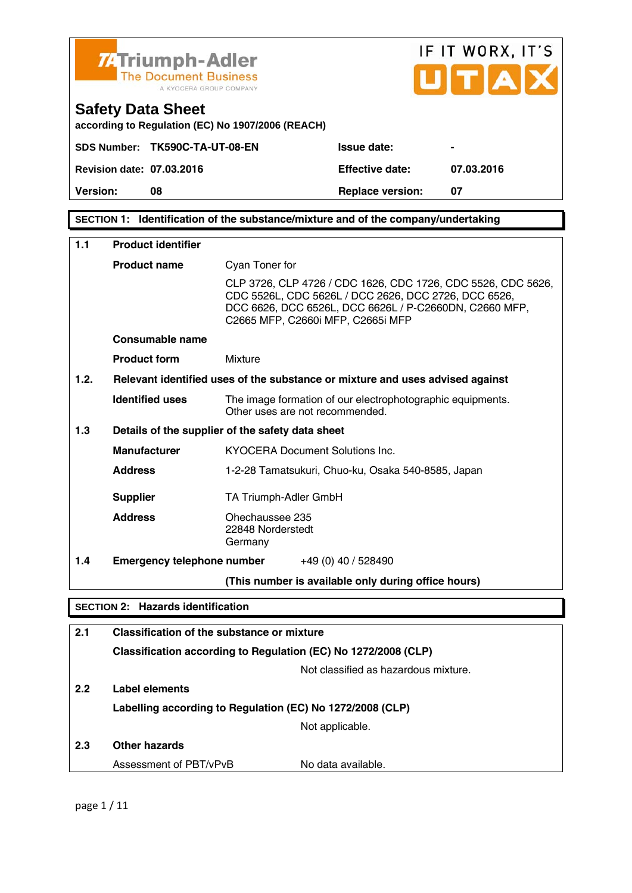

**SECTION 1: Identification of the substance/mixture and of the company/undertaking** 

| 1.1  | <b>Product identifier</b>                |                                                                                                                                                                                                                     |  |  |
|------|------------------------------------------|---------------------------------------------------------------------------------------------------------------------------------------------------------------------------------------------------------------------|--|--|
|      | <b>Product name</b>                      | Cyan Toner for                                                                                                                                                                                                      |  |  |
|      |                                          | CLP 3726, CLP 4726 / CDC 1626, CDC 1726, CDC 5526, CDC 5626,<br>CDC 5526L, CDC 5626L / DCC 2626, DCC 2726, DCC 6526,<br>DCC 6626, DCC 6526L, DCC 6626L / P-C2660DN, C2660 MFP,<br>C2665 MFP, C2660i MFP, C2665i MFP |  |  |
|      | Consumable name                          |                                                                                                                                                                                                                     |  |  |
|      | <b>Product form</b>                      | Mixture                                                                                                                                                                                                             |  |  |
| 1.2. |                                          | Relevant identified uses of the substance or mixture and uses advised against                                                                                                                                       |  |  |
|      | <b>Identified uses</b>                   | The image formation of our electrophotographic equipments.<br>Other uses are not recommended.                                                                                                                       |  |  |
| 1.3  |                                          | Details of the supplier of the safety data sheet                                                                                                                                                                    |  |  |
|      | <b>Manufacturer</b>                      | KYOCERA Document Solutions Inc.                                                                                                                                                                                     |  |  |
|      | <b>Address</b>                           | 1-2-28 Tamatsukuri, Chuo-ku, Osaka 540-8585, Japan                                                                                                                                                                  |  |  |
|      | <b>Supplier</b>                          | TA Triumph-Adler GmbH                                                                                                                                                                                               |  |  |
|      | <b>Address</b>                           | Ohechaussee 235<br>22848 Norderstedt<br>Germany                                                                                                                                                                     |  |  |
| 1.4  | <b>Emergency telephone number</b>        | +49 (0) 40 / 528490                                                                                                                                                                                                 |  |  |
|      |                                          | (This number is available only during office hours)                                                                                                                                                                 |  |  |
|      | <b>SECTION 2: Hazards identification</b> |                                                                                                                                                                                                                     |  |  |
| 2.1  |                                          | Classification of the substance or mixture                                                                                                                                                                          |  |  |
|      |                                          | Classification according to Regulation (EC) No 1272/2008 (CLP)                                                                                                                                                      |  |  |
|      |                                          | Not classified as hazardous mixture.                                                                                                                                                                                |  |  |
| 2.2  | Label elements                           |                                                                                                                                                                                                                     |  |  |
|      |                                          | Labelling according to Regulation (EC) No 1272/2008 (CLP)                                                                                                                                                           |  |  |
|      |                                          | Not applicable.                                                                                                                                                                                                     |  |  |
| 2.3  | <b>Other hazards</b>                     |                                                                                                                                                                                                                     |  |  |
|      | Assessment of PBT/vPvB                   | No data available.                                                                                                                                                                                                  |  |  |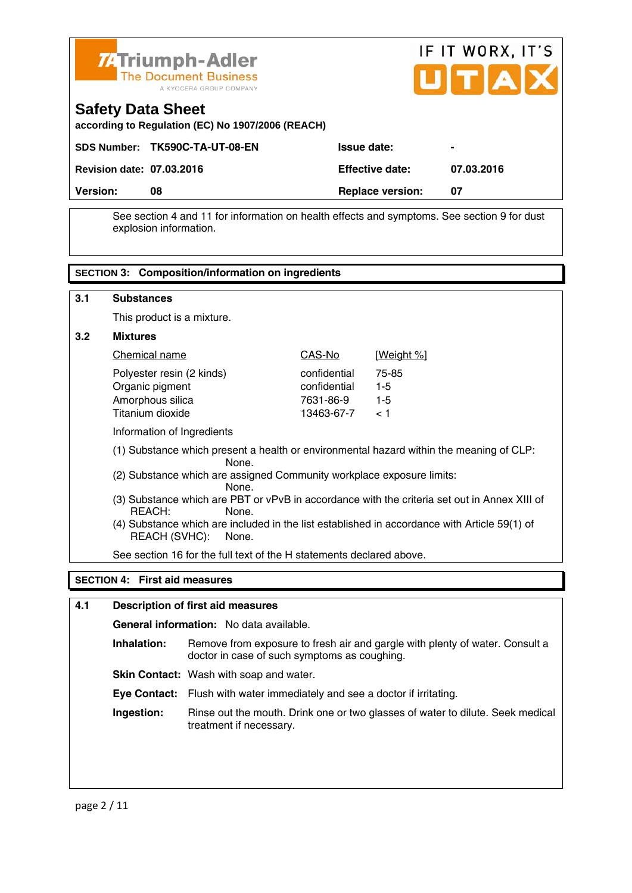



| <b>Version:</b>                  | 08                             | <b>Replace version:</b> | 07         |
|----------------------------------|--------------------------------|-------------------------|------------|
| <b>Revision date: 07.03.2016</b> |                                | <b>Effective date:</b>  | 07.03.2016 |
|                                  | SDS Number: TK590C-TA-UT-08-EN | <b>Issue date:</b>      |            |

 See section 4 and 11 for information on health effects and symptoms. See section 9 for dust explosion information.

## **SECTION 3: Composition/information on ingredients**

| 3.1              | <b>Substances</b>                                                                                                                                                                                                                         |                                                         |                                  |  |
|------------------|-------------------------------------------------------------------------------------------------------------------------------------------------------------------------------------------------------------------------------------------|---------------------------------------------------------|----------------------------------|--|
|                  | This product is a mixture.                                                                                                                                                                                                                |                                                         |                                  |  |
| 3.2 <sub>2</sub> | <b>Mixtures</b>                                                                                                                                                                                                                           |                                                         |                                  |  |
|                  | Chemical name                                                                                                                                                                                                                             | CAS-No                                                  | [Weight %]                       |  |
|                  | Polyester resin (2 kinds)<br>Organic pigment<br>Amorphous silica<br>Titanium dioxide                                                                                                                                                      | confidential<br>confidential<br>7631-86-9<br>13463-67-7 | 75-85<br>$1 - 5$<br>$1-5$<br>< 1 |  |
|                  | Information of Ingredients                                                                                                                                                                                                                |                                                         |                                  |  |
|                  | (1) Substance which present a health or environmental hazard within the meaning of CLP:<br>None.<br>(2) Substance which are assigned Community workplace exposure limits:<br>None.                                                        |                                                         |                                  |  |
|                  | (3) Substance which are PBT or vPvB in accordance with the criteria set out in Annex XIII of<br>REACH:<br>None.<br>(4) Substance which are included in the list established in accordance with Article 59(1) of<br>REACH (SVHC):<br>None. |                                                         |                                  |  |
|                  | See section 16 for the full text of the H statements declared above.                                                                                                                                                                      |                                                         |                                  |  |

#### **SECTION 4: First aid measures**

#### **4.1 Description of first aid measures**

 **General information:** No data available.

**Inhalation:** Remove from exposure to fresh air and gargle with plenty of water. Consult a doctor in case of such symptoms as coughing.

**Skin Contact:** Wash with soap and water.

 **Eye Contact:** Flush with water immediately and see a doctor if irritating.

 **Ingestion:** Rinse out the mouth. Drink one or two glasses of water to dilute. Seek medical treatment if necessary.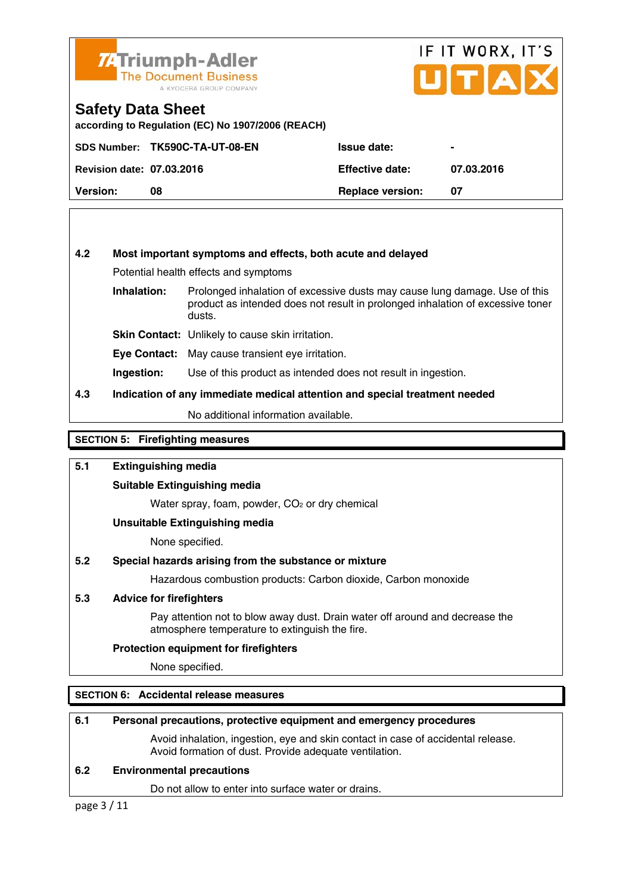

## IF IT WORX, IT'S UITIAI

#### **Safety Data Sheet**

**according to Regulation (EC) No 1907/2006 (REACH)** 

|                                  | SDS Number: TK590C-TA-UT-08-EN | <b>Issue date:</b>      | $\blacksquare$ |
|----------------------------------|--------------------------------|-------------------------|----------------|
| <b>Revision date: 07.03.2016</b> |                                | <b>Effective date:</b>  | 07.03.2016     |
| <b>Version:</b>                  | 08                             | <b>Replace version:</b> |                |

#### **4.2 Most important symptoms and effects, both acute and delayed**

Potential health effects and symptoms

**Inhalation:** Prolonged inhalation of excessive dusts may cause lung damage. Use of this product as intended does not result in prolonged inhalation of excessive toner dusts.

**Skin Contact:** Unlikely to cause skin irritation.

**Eye Contact:** May cause transient eye irritation.

**Ingestion:** Use of this product as intended does not result in ingestion.

#### **4.3 Indication of any immediate medical attention and special treatment needed**

No additional information available.

#### **SECTION 5: Firefighting measures**

#### **5.1 Extinguishing media**

#### **Suitable Extinguishing media**

Water spray, foam, powder, CO<sub>2</sub> or dry chemical

#### **Unsuitable Extinguishing media**

None specified.

#### **5.2 Special hazards arising from the substance or mixture**

Hazardous combustion products: Carbon dioxide, Carbon monoxide

#### **5.3 Advice for firefighters**

 Pay attention not to blow away dust. Drain water off around and decrease the atmosphere temperature to extinguish the fire.

#### **Protection equipment for firefighters**

None specified.

#### **SECTION 6: Accidental release measures**

#### **6.1 Personal precautions, protective equipment and emergency procedures**

 Avoid inhalation, ingestion, eye and skin contact in case of accidental release. Avoid formation of dust. Provide adequate ventilation.

#### **6.2 Environmental precautions**

Do not allow to enter into surface water or drains.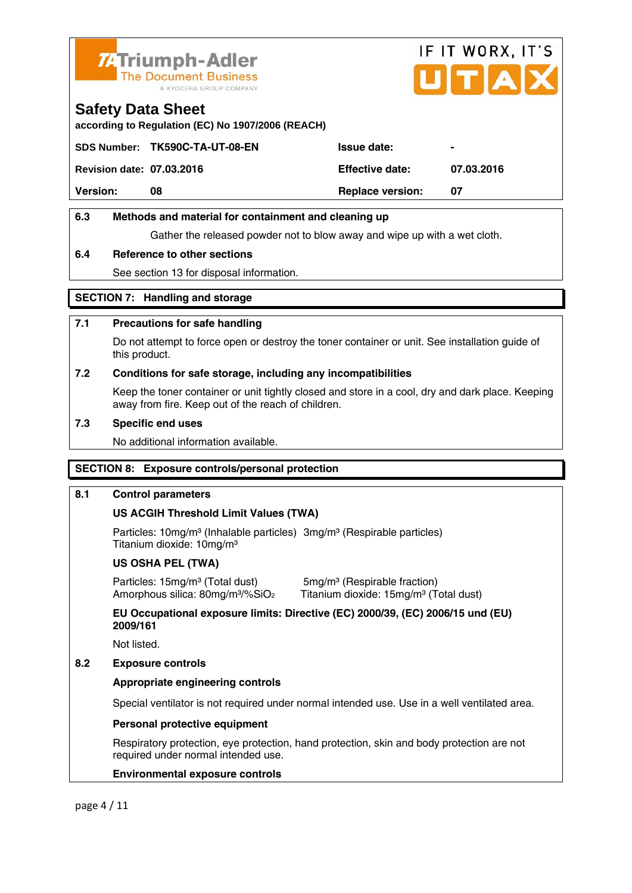

# IF IT WORX, IT'S ITIA

#### **Safety Data Sheet**

**according to Regulation (EC) No 1907/2006 (REACH)** 

|                                  | SDS Number: TK590C-TA-UT-08-EN | <b>Issue date:</b>      | $\blacksquare$ |
|----------------------------------|--------------------------------|-------------------------|----------------|
| <b>Revision date: 07.03.2016</b> |                                | <b>Effective date:</b>  | 07.03.2016     |
| <b>Version:</b>                  | 08                             | <b>Replace version:</b> | -07            |
|                                  |                                |                         |                |

#### **6.3 Methods and material for containment and cleaning up**

Gather the released powder not to blow away and wipe up with a wet cloth.

#### **6.4 Reference to other sections**

See section 13 for disposal information.

#### **SECTION 7: Handling and storage**

#### **7.1 Precautions for safe handling**

 Do not attempt to force open or destroy the toner container or unit. See installation guide of this product.

#### **7.2 Conditions for safe storage, including any incompatibilities**

Keep the toner container or unit tightly closed and store in a cool, dry and dark place. Keeping away from fire. Keep out of the reach of children.

#### **7.3 Specific end uses**

No additional information available.

#### **SECTION 8: Exposure controls/personal protection**

#### **8.1 Control parameters**

#### **US ACGIH Threshold Limit Values (TWA)**

Particles: 10mg/m<sup>3</sup> (Inhalable particles) 3mg/m<sup>3</sup> (Respirable particles) Titanium dioxide: 10mg/m³

#### **US OSHA PEL (TWA)**

Particles: 15mg/m<sup>3</sup> (Total dust) 5mg/m<sup>3</sup> (Respirable fraction)

Amorphous silica: 80mg/m<sup>3</sup>/%SiO<sub>2</sub> Titanium dioxide: 15mg/m<sup>3</sup> (Total dust)

 **EU Occupational exposure limits: Directive (EC) 2000/39, (EC) 2006/15 und (EU) 2009/161** 

Not listed.

#### **8.2 Exposure controls**

#### **Appropriate engineering controls**

Special ventilator is not required under normal intended use. Use in a well ventilated area.

#### **Personal protective equipment**

 Respiratory protection, eye protection, hand protection, skin and body protection are not required under normal intended use.

#### **Environmental exposure controls**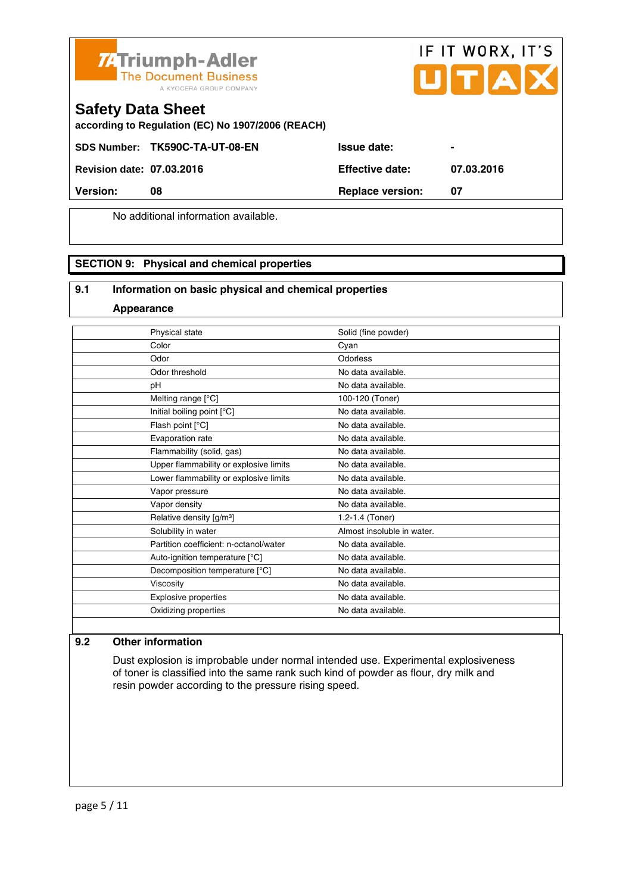



#### **Safety Data Sheet**

**according to Regulation (EC) No 1907/2006 (REACH)** 

SDS Number: TK590C-TA-UT-08-EN Issue date:

**Revision date: 07.03.2016 Effective date: 07.03.2016** 

**Version:** 08 **Replace version:** 07

No additional information available.

#### **SECTION 9: Physical and chemical properties**

#### **9.1 Information on basic physical and chemical properties**

**Appearance**

| Physical state                         | Solid (fine powder)        |
|----------------------------------------|----------------------------|
| Color                                  | Cyan                       |
| Odor                                   | Odorless                   |
| Odor threshold                         | No data available.         |
| рH                                     | No data available.         |
| Melting range [°C]                     | 100-120 (Toner)            |
| Initial boiling point [°C]             | No data available.         |
| Flash point [°C]                       | No data available.         |
| Evaporation rate                       | No data available.         |
| Flammability (solid, gas)              | No data available.         |
| Upper flammability or explosive limits | No data available.         |
| Lower flammability or explosive limits | No data available.         |
| Vapor pressure                         | No data available.         |
| Vapor density                          | No data available.         |
| Relative density [g/m <sup>3</sup> ]   | 1.2-1.4 (Toner)            |
| Solubility in water                    | Almost insoluble in water. |
| Partition coefficient: n-octanol/water | No data available.         |
| Auto-ignition temperature [°C]         | No data available.         |
| Decomposition temperature [°C]         | No data available.         |
| Viscosity                              | No data available.         |
| Explosive properties                   | No data available.         |
| Oxidizing properties                   | No data available.         |
|                                        |                            |

#### **9.2 Other information**

 Dust explosion is improbable under normal intended use. Experimental explosiveness of toner is classified into the same rank such kind of powder as flour, dry milk and resin powder according to the pressure rising speed.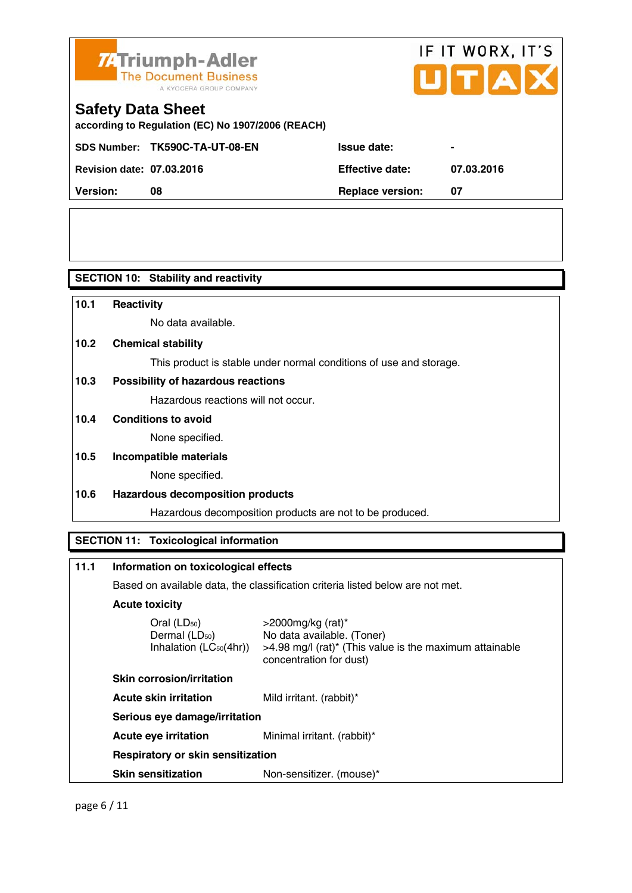

# IF IT WORX, IT'S

## **Safety Data Sheet**

**according to Regulation (EC) No 1907/2006 (REACH)** 

SDS Number: TK590C-TA-UT-08-EN ISSue date:

**Revision date: 07.03.2016 Effective date: 07.03.2016** 

|                                  | SDS NUMBER: TR390C-TA-OT-06-EN | issue dale.             |     |
|----------------------------------|--------------------------------|-------------------------|-----|
| <b>Revision date: 07.03.2016</b> |                                | <b>Effective date:</b>  | 07. |
| <b>Version:</b>                  |                                | <b>Replace version:</b> |     |

**SECTION 10: Stability and reactivity** 

### **10.1 Reactivity**  No data available. **10.2 Chemical stability**  This product is stable under normal conditions of use and storage. **10.3 Possibility of hazardous reactions** Hazardous reactions will not occur. **10.4 Conditions to avoid**  None specified. **10.5 Incompatible materials**  None specified. **10.6 Hazardous decomposition products**  Hazardous decomposition products are not to be produced. **SECTION 11: Toxicological information 11.1 Information on toxicological effects**  Based on available data, the classification criteria listed below are not met.

### **Acute toxicity**

Oral (LD<sub>50</sub>) >2000mg/kg (rat)<sup>\*</sup><br>Dermal (LD<sub>50</sub>) > No data available. No data available. (Toner) Inhalation  $(LC_{50}(4hr))$  > 4.98 mg/l (rat)<sup>\*</sup> (This value is the maximum attainable concentration for dust)

 **Skin corrosion/irritation Acute skin irritation** Mild irritant. (rabbit)\*

 **Serious eye damage/irritation** 

**Acute eye irritation** Minimal irritant. (rabbit)\*

 **Respiratory or skin sensitization** 

**Skin sensitization** Non-sensitizer. (mouse)\*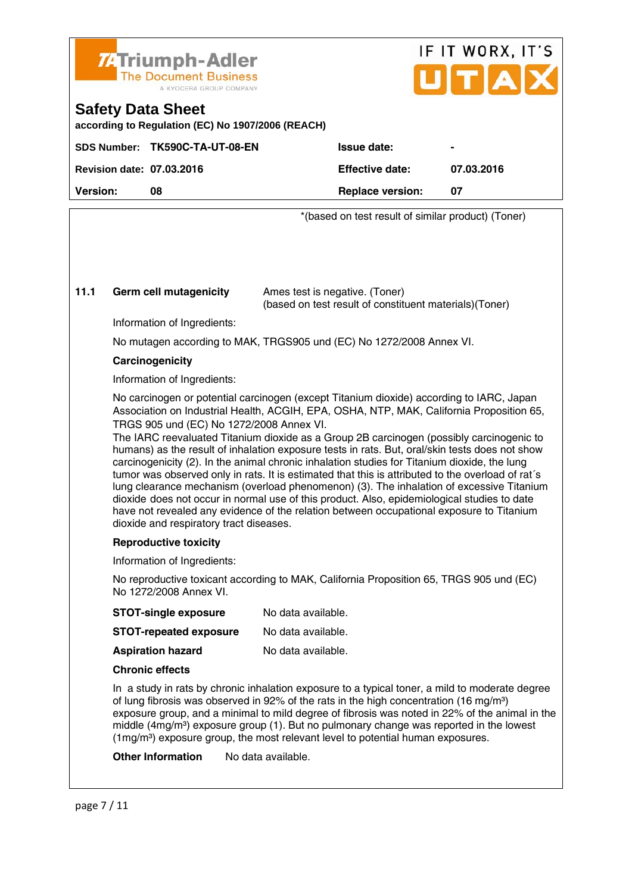

# IF IT WORX, IT'S

### **Safety Data Sheet**

**according to Regulation (EC) No 1907/2006 (REACH)** 

|                                  | SDS Number: TK590C-TA-UT-08-EN | <b>Issue date:</b>      | $\blacksquare$ |
|----------------------------------|--------------------------------|-------------------------|----------------|
| <b>Revision date: 07.03.2016</b> |                                | <b>Effective date:</b>  | 07.03.2016     |
| <b>Version:</b>                  | 08                             | <b>Replace version:</b> | 07             |
|                                  |                                |                         |                |

\*(based on test result of similar product) (Toner)

#### **11.1 Germ cell mutagenicity** Ames test is negative. (Toner)

(based on test result of constituent materials)(Toner)

Information of Ingredients:

No mutagen according to MAK, TRGS905 und (EC) No 1272/2008 Annex VI.

#### **Carcinogenicity**

Information of Ingredients:

 No carcinogen or potential carcinogen (except Titanium dioxide) according to IARC, Japan Association on Industrial Health, ACGIH, EPA, OSHA, NTP, MAK, California Proposition 65, TRGS 905 und (EC) No 1272/2008 Annex VI.

 The IARC reevaluated Titanium dioxide as a Group 2B carcinogen (possibly carcinogenic to humans) as the result of inhalation exposure tests in rats. But, oral/skin tests does not show carcinogenicity (2). In the animal chronic inhalation studies for Titanium dioxide, the lung tumor was observed only in rats. It is estimated that this is attributed to the overload of rat´s lung clearance mechanism (overload phenomenon) (3). The inhalation of excessive Titanium dioxide does not occur in normal use of this product. Also, epidemiological studies to date have not revealed any evidence of the relation between occupational exposure to Titanium dioxide and respiratory tract diseases.

#### **Reproductive toxicity**

Information of Ingredients:

 No reproductive toxicant according to MAK, California Proposition 65, TRGS 905 und (EC) No 1272/2008 Annex VI.

| <b>STOT-single exposure</b>   | No data available. |
|-------------------------------|--------------------|
| <b>STOT-repeated exposure</b> | No data available. |

**Aspiration hazard** No data available.

#### **Chronic effects**

 In a study in rats by chronic inhalation exposure to a typical toner, a mild to moderate degree of lung fibrosis was observed in 92% of the rats in the high concentration (16 mg/m<sup>3</sup>) exposure group, and a minimal to mild degree of fibrosis was noted in 22% of the animal in the middle  $(4mq/m<sup>3</sup>)$  exposure group (1). But no pulmonary change was reported in the lowest  $(1 \text{ma/m}^3)$  exposure group, the most relevant level to potential human exposures.

**Other Information** No data available.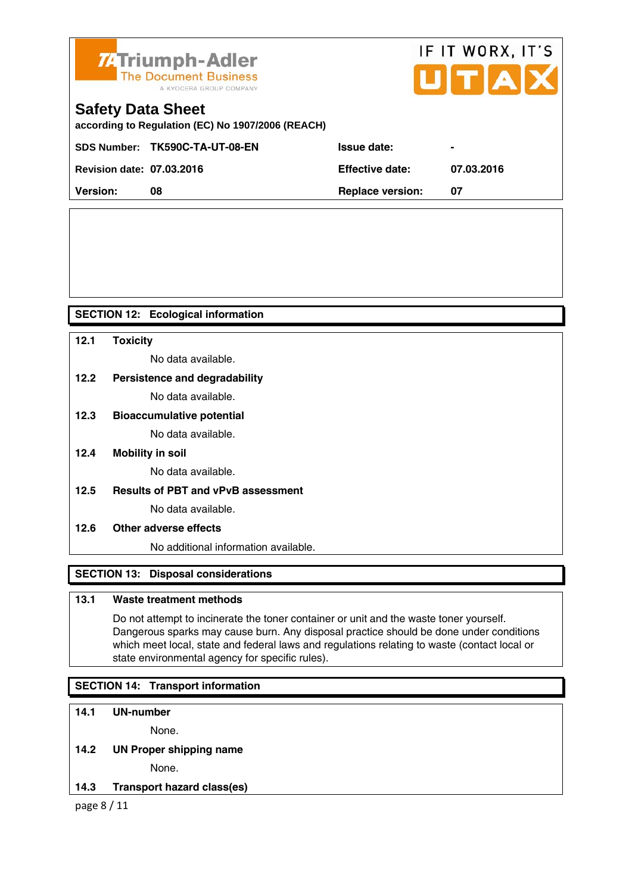

# IF IT WORX, IT'S UTAX

## **Safety Data Sheet**

**according to Regulation (EC) No 1907/2006 (REACH)** 

|                                  | SDS Number: TK590C-TA-UT-08-EN | <b>Issue date:</b>      |            |
|----------------------------------|--------------------------------|-------------------------|------------|
| <b>Revision date: 07.03.2016</b> |                                | <b>Effective date:</b>  | 07.03.2016 |
| <b>Version:</b>                  | 08                             | <b>Replace version:</b> |            |

#### **SECTION 12: Ecological information**

#### **12.1 Toxicity**

No data available.

#### **12.2 Persistence and degradability**

No data available.

#### **12.3 Bioaccumulative potential**

No data available.

**12.4 Mobility in soil** 

No data available.

**12.5 Results of PBT and vPvB assessment** 

No data available.

#### **12.6 Other adverse effects**

No additional information available.

#### **SECTION 13: Disposal considerations**

#### **13.1 Waste treatment methods**

 Do not attempt to incinerate the toner container or unit and the waste toner yourself. Dangerous sparks may cause burn. Any disposal practice should be done under conditions which meet local, state and federal laws and regulations relating to waste (contact local or state environmental agency for specific rules).

#### **SECTION 14: Transport information**

#### **14.1 UN-number**

None.

#### **14.2 UN Proper shipping name**

None.

**14.3 Transport hazard class(es)** 

page 8 / 11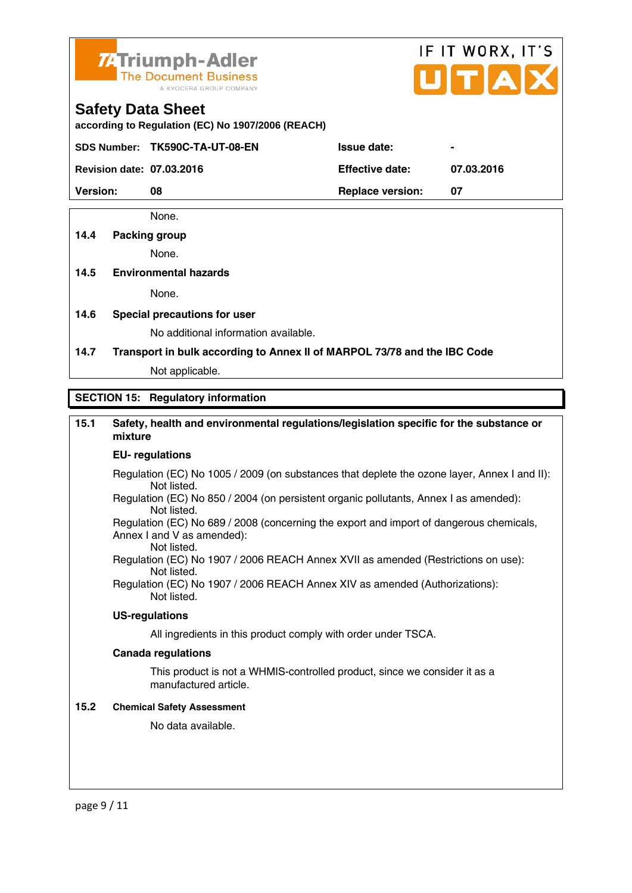

# IF IT WORX, IT'S

#### **Safety Data Sheet**

**according to Regulation (EC) No 1907/2006 (REACH)** 

SDS Number: TK590C-TA-UT-08-EN Issue date:

**Revision date: 07.03.2016 Effective date: 07.03.2016** 

**Version:** 08 **Replace version: 07 Replace version: 07** 

None.

#### **14.4 Packing group**

None.

#### **14.5 Environmental hazards**

None.

**14.6 Special precautions for user** 

No additional information available.

**14.7 Transport in bulk according to Annex II of MARPOL 73/78 and the IBC Code**

Not applicable.

#### **SECTION 15: Regulatory information**

#### **15.1 Safety, health and environmental regulations/legislation specific for the substance or mixture**

#### **EU- regulations**

- Regulation (EC) No 1005 / 2009 (on substances that deplete the ozone layer, Annex I and II): Not listed.
- Regulation (EC) No 850 / 2004 (on persistent organic pollutants, Annex I as amended): Not listed.

 Regulation (EC) No 689 / 2008 (concerning the export and import of dangerous chemicals, Annex I and V as amended): Not listed.

 Regulation (EC) No 1907 / 2006 REACH Annex XVII as amended (Restrictions on use): Not listed.

Regulation (EC) No 1907 / 2006 REACH Annex XIV as amended (Authorizations): Not listed.

#### **US-regulations**

All ingredients in this product comply with order under TSCA.

#### **Canada regulations**

 This product is not a WHMIS-controlled product, since we consider it as a manufactured article.

#### **15.2 Chemical Safety Assessment**

No data available.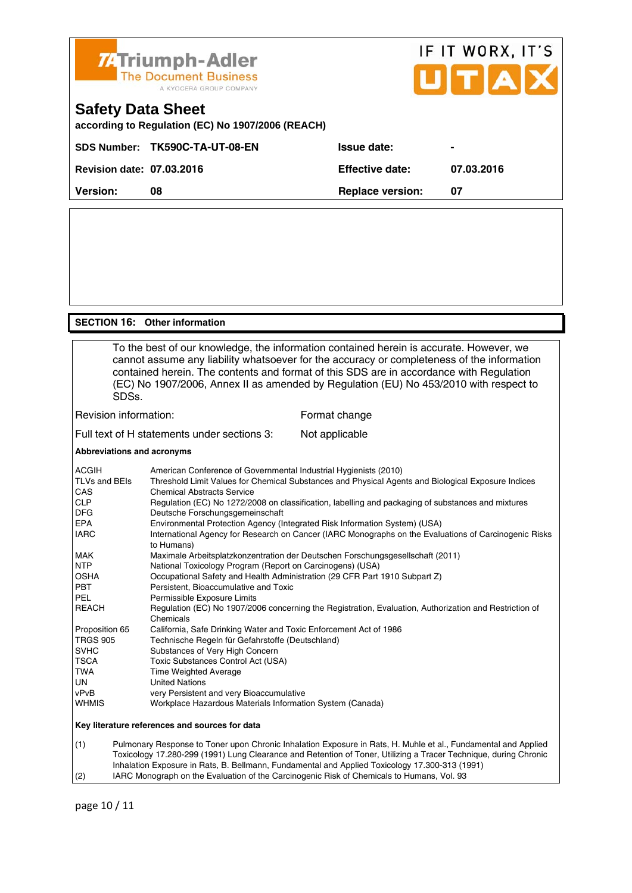

#### **SECTION 16: Other information**

 To the best of our knowledge, the information contained herein is accurate. However, we cannot assume any liability whatsoever for the accuracy or completeness of the information contained herein. The contents and format of this SDS are in accordance with Regulation (EC) No 1907/2006, Annex II as amended by Regulation (EU) No 453/2010 with respect to SDSs. Revision information: Format change Full text of H statements under sections 3: Not applicable **Abbreviations and acronyms** 

| <b>ACGIH</b>                                   | American Conference of Governmental Industrial Hygienists (2010)                                                    |  |  |
|------------------------------------------------|---------------------------------------------------------------------------------------------------------------------|--|--|
| TLVs and BEIs                                  | Threshold Limit Values for Chemical Substances and Physical Agents and Biological Exposure Indices                  |  |  |
| <b>CAS</b>                                     | <b>Chemical Abstracts Service</b>                                                                                   |  |  |
| <b>CLP</b>                                     | Regulation (EC) No 1272/2008 on classification, labelling and packaging of substances and mixtures                  |  |  |
| <b>DFG</b>                                     | Deutsche Forschungsgemeinschaft                                                                                     |  |  |
| <b>EPA</b>                                     | Environmental Protection Agency (Integrated Risk Information System) (USA)                                          |  |  |
| <b>IARC</b>                                    | International Agency for Research on Cancer (IARC Monographs on the Evaluations of Carcinogenic Risks<br>to Humans) |  |  |
| <b>MAK</b>                                     | Maximale Arbeitsplatzkonzentration der Deutschen Forschungsgesellschaft (2011)                                      |  |  |
| <b>NTP</b>                                     | National Toxicology Program (Report on Carcinogens) (USA)                                                           |  |  |
| <b>OSHA</b>                                    | Occupational Safety and Health Administration (29 CFR Part 1910 Subpart Z)                                          |  |  |
| PBT                                            | Persistent, Bioaccumulative and Toxic                                                                               |  |  |
| PEL                                            | Permissible Exposure Limits                                                                                         |  |  |
| <b>REACH</b>                                   | Regulation (EC) No 1907/2006 concerning the Registration, Evaluation, Authorization and Restriction of<br>Chemicals |  |  |
| Proposition 65                                 | California, Safe Drinking Water and Toxic Enforcement Act of 1986                                                   |  |  |
| <b>TRGS 905</b>                                | Technische Regeln für Gefahrstoffe (Deutschland)                                                                    |  |  |
| <b>SVHC</b>                                    | Substances of Very High Concern                                                                                     |  |  |
| <b>TSCA</b>                                    | Toxic Substances Control Act (USA)                                                                                  |  |  |
| TWA                                            | Time Weighted Average                                                                                               |  |  |
| <b>UN</b>                                      | <b>United Nations</b>                                                                                               |  |  |
| vPvB                                           | very Persistent and very Bioaccumulative                                                                            |  |  |
| <b>WHMIS</b>                                   | Workplace Hazardous Materials Information System (Canada)                                                           |  |  |
| Key literature references and sources for data |                                                                                                                     |  |  |

(1) Pulmonary Response to Toner upon Chronic Inhalation Exposure in Rats, H. Muhle et al., Fundamental and Applied Toxicology 17.280-299 (1991) Lung Clearance and Retention of Toner, Utilizing a Tracer Technique, during Chronic Inhalation Exposure in Rats, B. Bellmann, Fundamental and Applied Toxicology 17.300-313 (1991) (2) IARC Monograph on the Evaluation of the Carcinogenic Risk of Chemicals to Humans, Vol. 93

page 10 / 11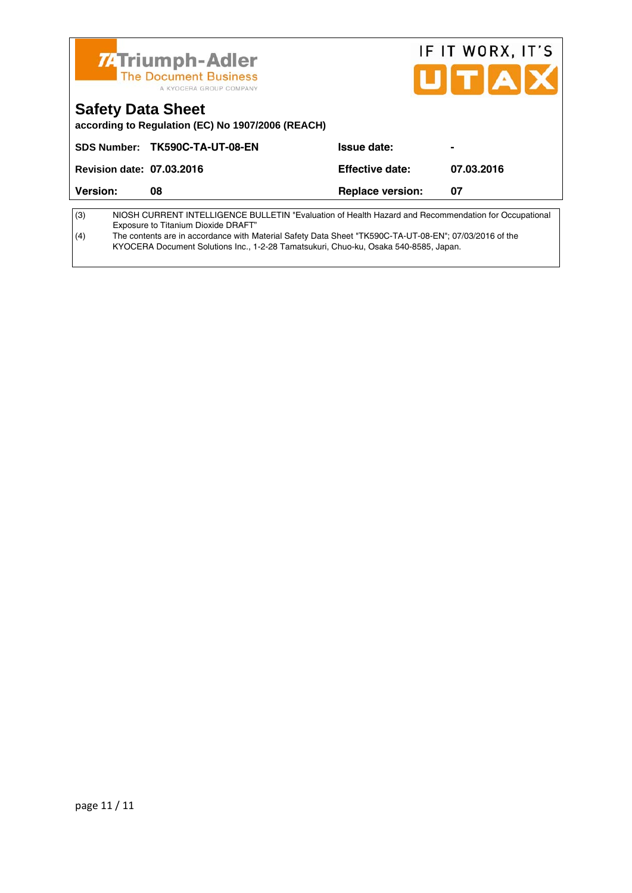| <b>74 Triumph-Adler</b><br><b>The Document Business</b><br>A KYOCERA GROUP COMPANY                                                                 |                           |                         | IF IT WORX, IT'S<br>UITAX |  |
|----------------------------------------------------------------------------------------------------------------------------------------------------|---------------------------|-------------------------|---------------------------|--|
| <b>Safety Data Sheet</b><br>according to Regulation (EC) No 1907/2006 (REACH)                                                                      |                           |                         |                           |  |
| <b>SDS Number:</b>                                                                                                                                 | <b>TK590C-TA-UT-08-EN</b> | Issue date:             |                           |  |
| <b>Revision date: 07.03.2016</b>                                                                                                                   |                           | Effective date:         | 07.03.2016                |  |
| Version:                                                                                                                                           | 08                        | <b>Replace version:</b> | 07                        |  |
| (3)<br>NIOSH CURRENT INTELLIGENCE BULLETIN "Evaluation of Health Hazard and Recommendation for Occupational<br>Exposure to Titanium Dioxide DRAFT" |                           |                         |                           |  |

(4) The contents are in accordance with Material Safety Data Sheet "TK590C-TA-UT-08-EN"; 07/03/2016 of the KYOCERA Document Solutions Inc., 1-2-28 Tamatsukuri, Chuo-ku, Osaka 540-8585, Japan.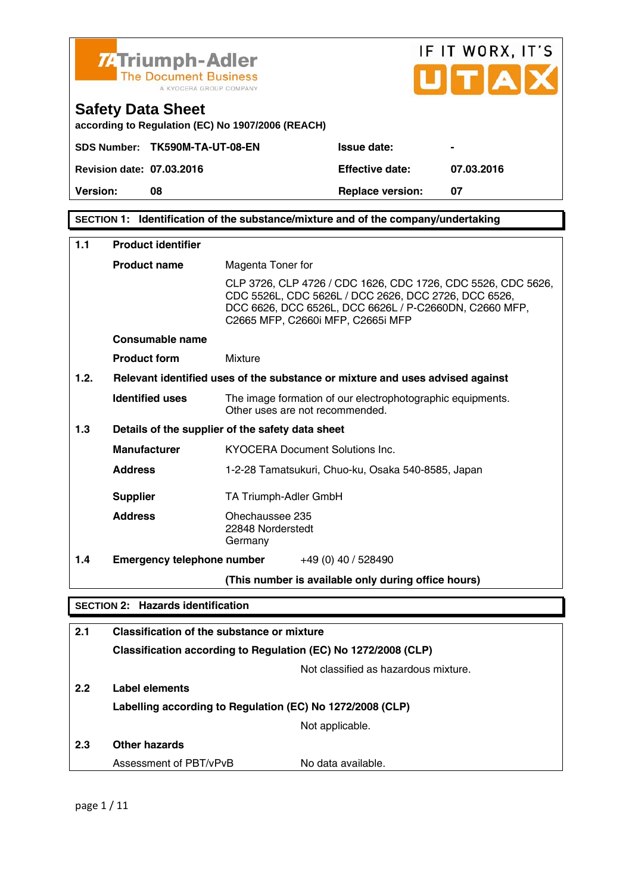

# IF IT WORX, IT'S TÏа

### **Safety Data Sheet**

**according to Regulation (EC) No 1907/2006 (REACH)** 

|                                  | SDS Number: TK590M-TA-UT-08-EN | <b>Issue date:</b>     |            |
|----------------------------------|--------------------------------|------------------------|------------|
| <b>Revision date: 07.03.2016</b> |                                | <b>Effective date:</b> | 07.03.2016 |

**Version:** 08 **Replace version: 07 Replace version: 07** 

**SECTION 1: Identification of the substance/mixture and of the company/undertaking** 

| 1.1  | <b>Product identifier</b>                |                                                                                                                                                                                                                     |
|------|------------------------------------------|---------------------------------------------------------------------------------------------------------------------------------------------------------------------------------------------------------------------|
|      | <b>Product name</b>                      | Magenta Toner for                                                                                                                                                                                                   |
|      |                                          | CLP 3726, CLP 4726 / CDC 1626, CDC 1726, CDC 5526, CDC 5626,<br>CDC 5526L, CDC 5626L / DCC 2626, DCC 2726, DCC 6526,<br>DCC 6626, DCC 6526L, DCC 6626L / P-C2660DN, C2660 MFP,<br>C2665 MFP, C2660i MFP, C2665i MFP |
|      | Consumable name                          |                                                                                                                                                                                                                     |
|      | <b>Product form</b>                      | Mixture                                                                                                                                                                                                             |
| 1.2. |                                          | Relevant identified uses of the substance or mixture and uses advised against                                                                                                                                       |
|      | <b>Identified uses</b>                   | The image formation of our electrophotographic equipments.<br>Other uses are not recommended.                                                                                                                       |
| 1.3  |                                          | Details of the supplier of the safety data sheet                                                                                                                                                                    |
|      | <b>Manufacturer</b>                      | <b>KYOCERA Document Solutions Inc.</b>                                                                                                                                                                              |
|      | <b>Address</b>                           | 1-2-28 Tamatsukuri, Chuo-ku, Osaka 540-8585, Japan                                                                                                                                                                  |
|      | <b>Supplier</b>                          | TA Triumph-Adler GmbH                                                                                                                                                                                               |
|      | <b>Address</b>                           | Ohechaussee 235<br>22848 Norderstedt<br>Germany                                                                                                                                                                     |
| 1.4  | <b>Emergency telephone number</b>        | +49 (0) 40 / 528490                                                                                                                                                                                                 |
|      |                                          | (This number is available only during office hours)                                                                                                                                                                 |
|      | <b>SECTION 2: Hazards identification</b> |                                                                                                                                                                                                                     |
| 2.1  |                                          | <b>Classification of the substance or mixture</b>                                                                                                                                                                   |
|      |                                          | Classification according to Regulation (EC) No 1272/2008 (CLP)                                                                                                                                                      |
|      |                                          | Not classified as hazardous mixture.                                                                                                                                                                                |
|      |                                          |                                                                                                                                                                                                                     |

**2.2 Label elements** 

**Labelling according to Regulation (EC) No 1272/2008 (CLP)**

Not applicable.

**2.3 Other hazards**  Assessment of PBT/vPvB No data available.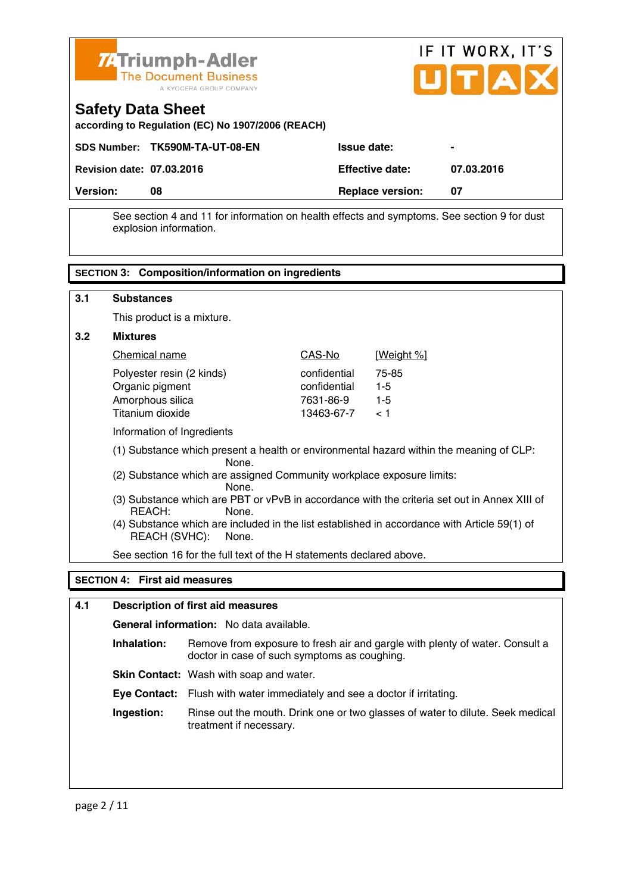

**Safety Data Sheet** 



| <b>Version:</b>                  | 08                             | <b>Replace version:</b> | 07             |
|----------------------------------|--------------------------------|-------------------------|----------------|
| <b>Revision date: 07.03.2016</b> |                                | <b>Effective date:</b>  | 07.03.2016     |
|                                  | SDS Number: TK590M-TA-UT-08-EN | <b>Issue date:</b>      | $\blacksquare$ |
|                                  |                                |                         |                |

 See section 4 and 11 for information on health effects and symptoms. See section 9 for dust explosion information.

#### **SECTION 3: Composition/information on ingredients 3.1 Substances** This product is a mixture. **3.2 Mixtures**  Chemical name CAS-No [Weight %] Polyester resin (2 kinds) confidential 75-85 Organic pigment confidential 1-5 Amorphous silica 7631-86-9 1-5 Titanium dioxide 13463-67-7 < 1 Information of Ingredients (1) Substance which present a health or environmental hazard within the meaning of CLP: None. (2) Substance which are assigned Community workplace exposure limits: None. (3) Substance which are PBT or vPvB in accordance with the criteria set out in Annex XIII of REACH: None. (4) Substance which are included in the list established in accordance with Article 59(1) of REACH (SVHC): None. See section 16 for the full text of the H statements declared above. **SECTION 4: First aid measures**

#### **4.1 Description of first aid measures**

 **General information:** No data available.

**Inhalation:** Remove from exposure to fresh air and gargle with plenty of water. Consult a doctor in case of such symptoms as coughing.

**Skin Contact:** Wash with soap and water.

 **Eye Contact:** Flush with water immediately and see a doctor if irritating.

**Ingestion:** Rinse out the mouth. Drink one or two glasses of water to dilute. Seek medical treatment if necessary.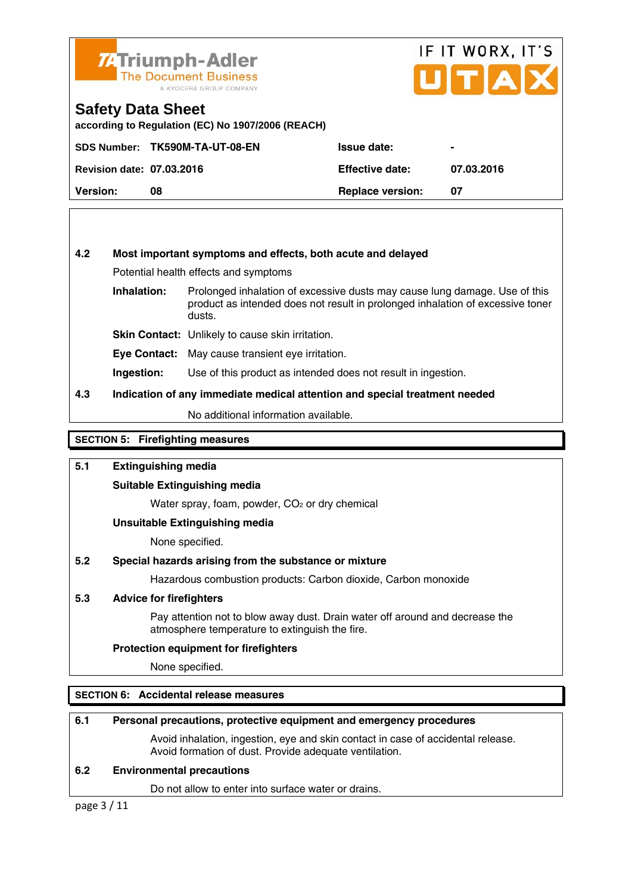

## IF IT WORX, IT'S UITIA

#### **Safety Data Sheet**

**according to Regulation (EC) No 1907/2006 (REACH)** 

|                                  | SDS Number: TK590M-TA-UT-08-EN | <b>Issue date:</b>      | $\blacksquare$ |
|----------------------------------|--------------------------------|-------------------------|----------------|
| <b>Revision date: 07.03.2016</b> |                                | <b>Effective date:</b>  | 07.03.2016     |
| <b>Version:</b>                  | 08                             | <b>Replace version:</b> | 07             |

#### **4.2 Most important symptoms and effects, both acute and delayed**

Potential health effects and symptoms

**Inhalation:** Prolonged inhalation of excessive dusts may cause lung damage. Use of this product as intended does not result in prolonged inhalation of excessive toner dusts.

**Skin Contact:** Unlikely to cause skin irritation.

**Eye Contact:** May cause transient eye irritation.

**Ingestion:** Use of this product as intended does not result in ingestion.

#### **4.3 Indication of any immediate medical attention and special treatment needed**

No additional information available.

#### **SECTION 5: Firefighting measures**

#### **5.1 Extinguishing media**

#### **Suitable Extinguishing media**

Water spray, foam, powder, CO<sub>2</sub> or dry chemical

#### **Unsuitable Extinguishing media**

None specified.

#### **5.2 Special hazards arising from the substance or mixture**

Hazardous combustion products: Carbon dioxide, Carbon monoxide

#### **5.3 Advice for firefighters**

 Pay attention not to blow away dust. Drain water off around and decrease the atmosphere temperature to extinguish the fire.

#### **Protection equipment for firefighters**

None specified.

#### **SECTION 6: Accidental release measures**

#### **6.1 Personal precautions, protective equipment and emergency procedures**

 Avoid inhalation, ingestion, eye and skin contact in case of accidental release. Avoid formation of dust. Provide adequate ventilation.

#### **6.2 Environmental precautions**

Do not allow to enter into surface water or drains.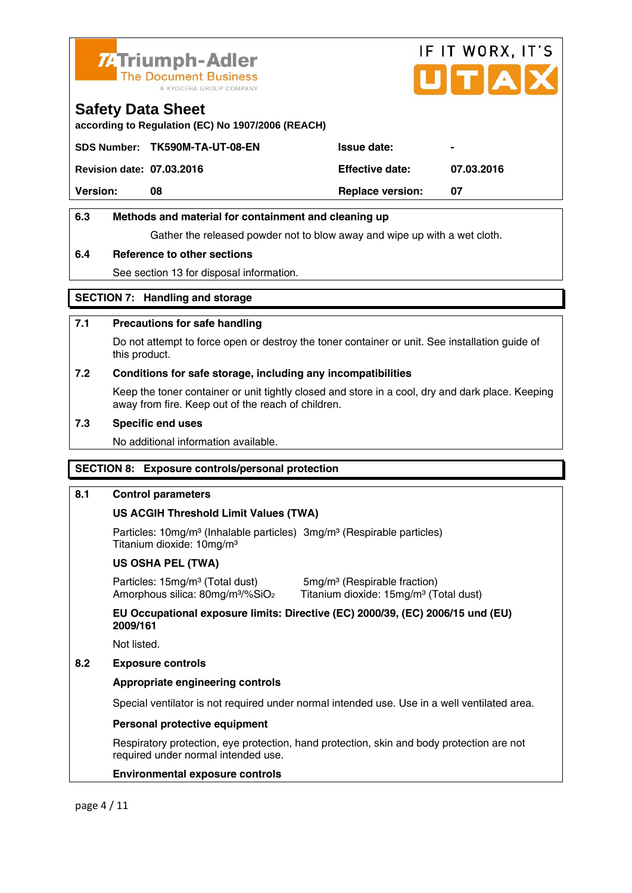

# IF IT WORX, IT'S ITIA

#### **Safety Data Sheet**

**according to Regulation (EC) No 1907/2006 (REACH)** 

|                                  | SDS Number: TK590M-TA-UT-08-EN | <b>Issue date:</b>      | $\blacksquare$ |
|----------------------------------|--------------------------------|-------------------------|----------------|
| <b>Revision date: 07.03.2016</b> |                                | <b>Effective date:</b>  | 07.03.2016     |
| <b>Version:</b>                  | 08                             | <b>Replace version:</b> | 07             |

#### **6.3 Methods and material for containment and cleaning up**

Gather the released powder not to blow away and wipe up with a wet cloth.

#### **6.4 Reference to other sections**

See section 13 for disposal information.

#### **SECTION 7: Handling and storage**

#### **7.1 Precautions for safe handling**

 Do not attempt to force open or destroy the toner container or unit. See installation guide of this product.

#### **7.2 Conditions for safe storage, including any incompatibilities**

Keep the toner container or unit tightly closed and store in a cool, dry and dark place. Keeping away from fire. Keep out of the reach of children.

#### **7.3 Specific end uses**

No additional information available.

#### **SECTION 8: Exposure controls/personal protection**

#### **8.1 Control parameters**

#### **US ACGIH Threshold Limit Values (TWA)**

Particles: 10mg/m<sup>3</sup> (Inhalable particles) 3mg/m<sup>3</sup> (Respirable particles) Titanium dioxide: 10mg/m³

#### **US OSHA PEL (TWA)**

Particles: 15mg/m<sup>3</sup> (Total dust) 5mg/m<sup>3</sup> (Respirable fraction)

Amorphous silica: 80mg/m<sup>3</sup>/%SiO<sub>2</sub> Titanium dioxide: 15mg/m<sup>3</sup> (Total dust)

 **EU Occupational exposure limits: Directive (EC) 2000/39, (EC) 2006/15 und (EU) 2009/161** 

Not listed.

#### **8.2 Exposure controls**

#### **Appropriate engineering controls**

Special ventilator is not required under normal intended use. Use in a well ventilated area.

#### **Personal protective equipment**

 Respiratory protection, eye protection, hand protection, skin and body protection are not required under normal intended use.

#### **Environmental exposure controls**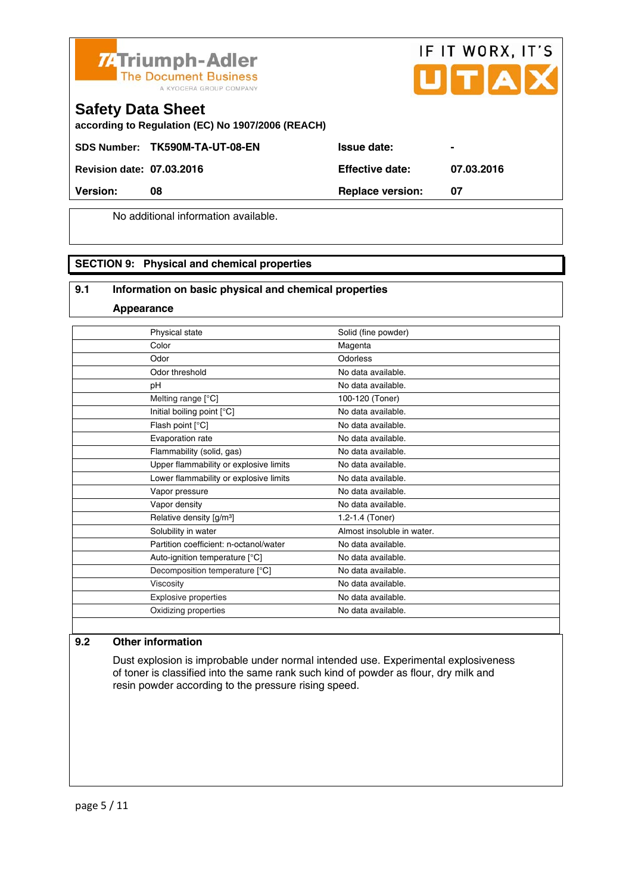



#### **Safety Data Sheet**

**according to Regulation (EC) No 1907/2006 (REACH)** 

SDS Number: TK590M-TA-UT-08-EN Issue date:

**Revision date: 07.03.2016 Effective date: 07.03.2016** 

**Version:** 08 **Replace version:** 07

No additional information available.

#### **SECTION 9: Physical and chemical properties**

#### **9.1 Information on basic physical and chemical properties**

**Appearance**

| Physical state                         | Solid (fine powder)        |
|----------------------------------------|----------------------------|
| Color                                  | Magenta                    |
| Odor                                   | Odorless                   |
| Odor threshold                         | No data available.         |
| рH                                     | No data available.         |
| Melting range [°C]                     | 100-120 (Toner)            |
| Initial boiling point [°C]             | No data available.         |
| Flash point [°C]                       | No data available.         |
| Evaporation rate                       | No data available.         |
| Flammability (solid, gas)              | No data available.         |
| Upper flammability or explosive limits | No data available.         |
| Lower flammability or explosive limits | No data available.         |
| Vapor pressure                         | No data available.         |
| Vapor density                          | No data available.         |
| Relative density [g/m <sup>3</sup> ]   | 1.2-1.4 (Toner)            |
| Solubility in water                    | Almost insoluble in water. |
| Partition coefficient: n-octanol/water | No data available.         |
| Auto-ignition temperature [°C]         | No data available.         |
| Decomposition temperature [°C]         | No data available.         |
| Viscosity                              | No data available.         |
| Explosive properties                   | No data available.         |
| Oxidizing properties                   | No data available.         |
|                                        |                            |

#### **9.2 Other information**

 Dust explosion is improbable under normal intended use. Experimental explosiveness of toner is classified into the same rank such kind of powder as flour, dry milk and resin powder according to the pressure rising speed.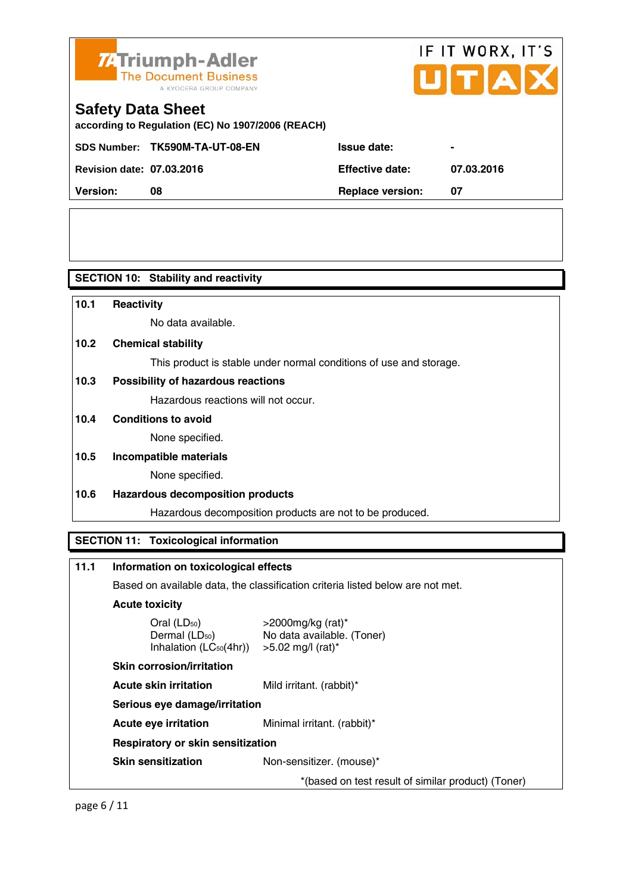

## IF IT WORX, IT'S TIA

## **Safety Data Sheet**

**according to Regulation (EC) No 1907/2006 (REACH)** 

SDS Number: TK590M-TA-UT-08-EN

**Revision date: 07.03.2016 Effective date: 07.03.2016** 

|                                  | SDS Number: TK590M-TA-UT-08-EN | <b>Issue date:</b>      | $\blacksquare$ |
|----------------------------------|--------------------------------|-------------------------|----------------|
| <b>Revision date: 07.03.2016</b> |                                | <b>Effective date:</b>  | 07.            |
| Version:                         | 08                             | <b>Replace version:</b> | 07             |

**SECTION 10: Stability and reactivity** 

| 10.1 | Reactivity                                                                                    |                                                                                |
|------|-----------------------------------------------------------------------------------------------|--------------------------------------------------------------------------------|
|      | No data available.                                                                            |                                                                                |
| 10.2 | <b>Chemical stability</b>                                                                     |                                                                                |
|      |                                                                                               | This product is stable under normal conditions of use and storage.             |
| 10.3 | <b>Possibility of hazardous reactions</b>                                                     |                                                                                |
|      | Hazardous reactions will not occur.                                                           |                                                                                |
| 10.4 | <b>Conditions to avoid</b>                                                                    |                                                                                |
|      | None specified.                                                                               |                                                                                |
| 10.5 | Incompatible materials                                                                        |                                                                                |
|      | None specified.                                                                               |                                                                                |
| 10.6 | <b>Hazardous decomposition products</b>                                                       |                                                                                |
|      |                                                                                               | Hazardous decomposition products are not to be produced.                       |
|      | <b>SECTION 11: Toxicological information</b>                                                  |                                                                                |
|      |                                                                                               |                                                                                |
| 11.1 | Information on toxicological effects                                                          |                                                                                |
|      |                                                                                               | Based on available data, the classification criteria listed below are not met. |
|      | <b>Acute toxicity</b>                                                                         |                                                                                |
|      | Oral (LD <sub>50</sub> )<br>Dermal (LD <sub>50</sub> )<br>Inhalation (LC <sub>50</sub> (4hr)) | $>$ 2000mg/kg (rat)*<br>No data available. (Toner)<br>$>5.02$ mg/l (rat)*      |
|      | <b>Skin corrosion/irritation</b>                                                              |                                                                                |
|      | <b>Acute skin irritation</b>                                                                  | Mild irritant. (rabbit)*                                                       |

 **Serious eye damage/irritation** 

**Acute eye irritation** Minimal irritant. (rabbit)\*

 **Respiratory or skin sensitization** 

**Skin sensitization** Non-sensitizer. (mouse)\*

\*(based on test result of similar product) (Toner)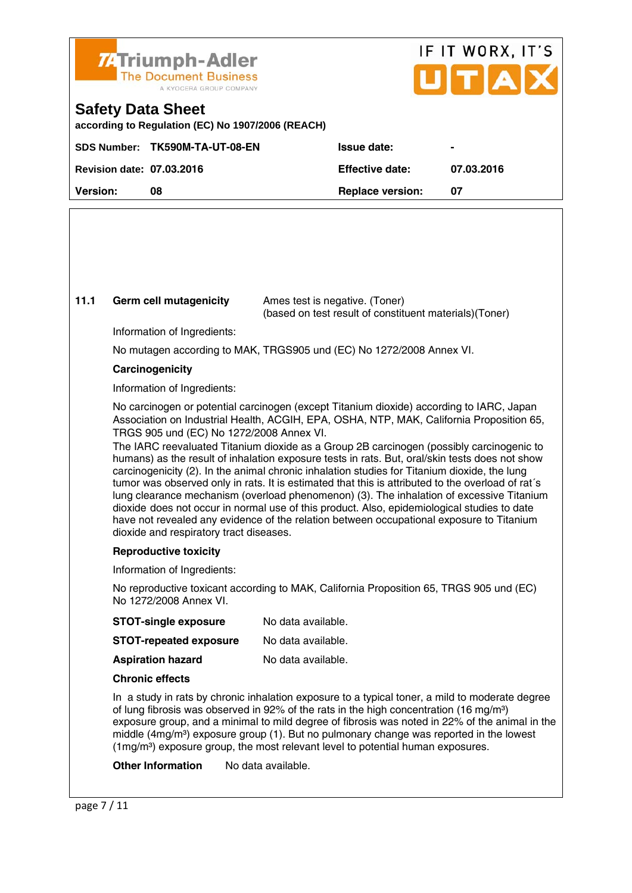

## IF IT WORX, IT'S ПТА

### **Safety Data Sheet**

**according to Regulation (EC) No 1907/2006 (REACH)** 

|                                  | SDS Number: TK590M-TA-UT-08-EN | <b>Issue date:</b>      |            |
|----------------------------------|--------------------------------|-------------------------|------------|
| <b>Revision date: 07.03.2016</b> |                                | <b>Effective date:</b>  | 07.03.2016 |
| <b>Version:</b>                  | 08                             | <b>Replace version:</b> |            |
|                                  |                                |                         |            |

#### **11.1 Germ cell mutagenicity** Ames test is negative. (Toner)

(based on test result of constituent materials)(Toner)

Information of Ingredients:

No mutagen according to MAK, TRGS905 und (EC) No 1272/2008 Annex VI.

#### **Carcinogenicity**

Information of Ingredients:

 No carcinogen or potential carcinogen (except Titanium dioxide) according to IARC, Japan Association on Industrial Health, ACGIH, EPA, OSHA, NTP, MAK, California Proposition 65, TRGS 905 und (EC) No 1272/2008 Annex VI.

 The IARC reevaluated Titanium dioxide as a Group 2B carcinogen (possibly carcinogenic to humans) as the result of inhalation exposure tests in rats. But, oral/skin tests does not show carcinogenicity (2). In the animal chronic inhalation studies for Titanium dioxide, the lung tumor was observed only in rats. It is estimated that this is attributed to the overload of rat´s lung clearance mechanism (overload phenomenon) (3). The inhalation of excessive Titanium dioxide does not occur in normal use of this product. Also, epidemiological studies to date have not revealed any evidence of the relation between occupational exposure to Titanium dioxide and respiratory tract diseases.

#### **Reproductive toxicity**

Information of Ingredients:

 No reproductive toxicant according to MAK, California Proposition 65, TRGS 905 und (EC) No 1272/2008 Annex VI.

| <b>STOT-single exposure</b>   | No data available. |
|-------------------------------|--------------------|
| <b>STOT-repeated exposure</b> | No data available. |
| <b>Aspiration hazard</b>      | No data available. |

#### **Chronic effects**

 In a study in rats by chronic inhalation exposure to a typical toner, a mild to moderate degree of lung fibrosis was observed in 92% of the rats in the high concentration (16 mg/m<sup>3</sup>) exposure group, and a minimal to mild degree of fibrosis was noted in 22% of the animal in the middle (4mg/m<sup>3</sup>) exposure group (1). But no pulmonary change was reported in the lowest  $(1 \text{mg/m}^3)$  exposure group, the most relevant level to potential human exposures.

**Other Information** No data available.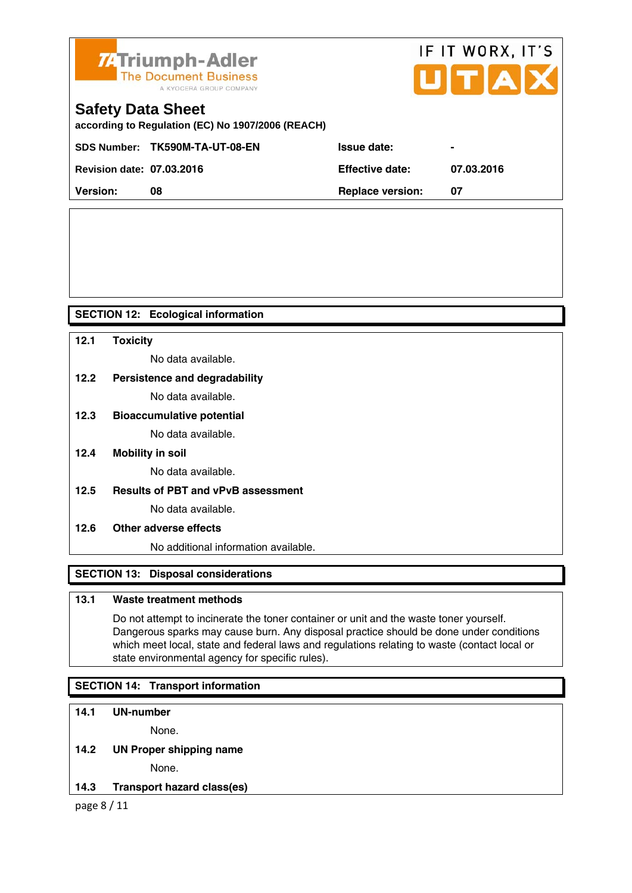

# IF IT WORX, IT'S UTAX

### **Safety Data Sheet**

**according to Regulation (EC) No 1907/2006 (REACH)** 

|                                  | SDS Number: TK590M-TA-UT-08-EN | <b>Issue date:</b>      | $\sim$     |
|----------------------------------|--------------------------------|-------------------------|------------|
| <b>Revision date: 07.03.2016</b> |                                | <b>Effective date:</b>  | 07.03.2016 |
| <b>Version:</b>                  | 08                             | <b>Replace version:</b> |            |
|                                  |                                |                         |            |

#### **SECTION 12: Ecological information**

#### **12.1 Toxicity**

No data available.

#### **12.2 Persistence and degradability**

No data available.

#### **12.3 Bioaccumulative potential**

No data available.

**12.4 Mobility in soil** 

No data available.

**12.5 Results of PBT and vPvB assessment** 

No data available.

#### **12.6 Other adverse effects**

No additional information available.

#### **SECTION 13: Disposal considerations**

#### **13.1 Waste treatment methods**

 Do not attempt to incinerate the toner container or unit and the waste toner yourself. Dangerous sparks may cause burn. Any disposal practice should be done under conditions which meet local, state and federal laws and regulations relating to waste (contact local or state environmental agency for specific rules).

#### **SECTION 14: Transport information**

#### **14.1 UN-number**

None.

#### **14.2 UN Proper shipping name**

None.

#### **14.3 Transport hazard class(es)**

page 8 / 11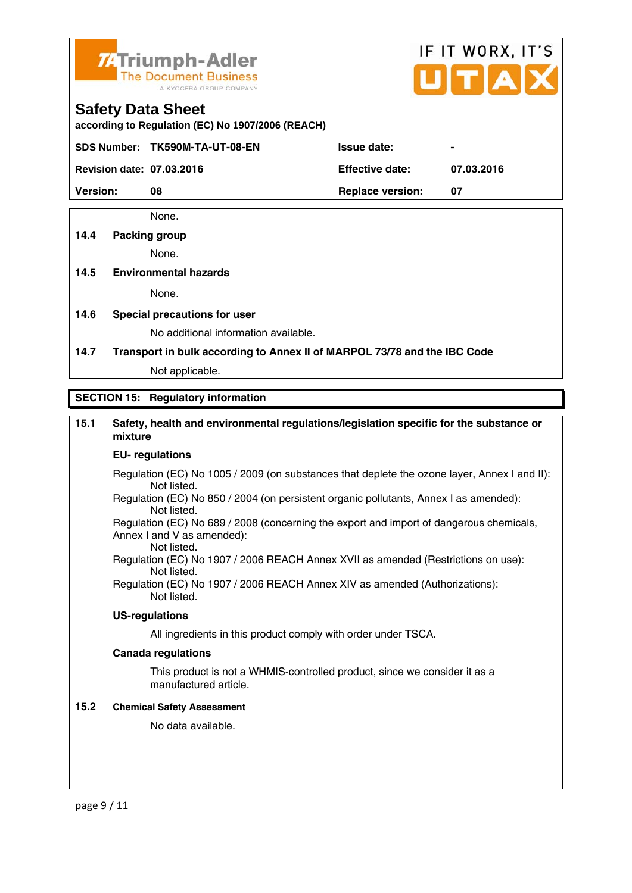

# IF IT WORX, IT'S

#### **Safety Data Sheet**

**according to Regulation (EC) No 1907/2006 (REACH)** 

SDS Number: TK590M-TA-UT-08-EN ISSue date:

**Revision date: 07.03.2016 Effective date: 07.03.2016** 

**Version:** 08 **Replace version: 07 Replace version: 07** 

None.

#### **14.4 Packing group**

None.

#### **14.5 Environmental hazards**

None.

**14.6 Special precautions for user** 

No additional information available.

**14.7 Transport in bulk according to Annex II of MARPOL 73/78 and the IBC Code**

Not applicable.

#### **SECTION 15: Regulatory information**

#### **15.1 Safety, health and environmental regulations/legislation specific for the substance or mixture**

#### **EU- regulations**

- Regulation (EC) No 1005 / 2009 (on substances that deplete the ozone layer, Annex I and II): Not listed.
- Regulation (EC) No 850 / 2004 (on persistent organic pollutants, Annex I as amended): Not listed.

 Regulation (EC) No 689 / 2008 (concerning the export and import of dangerous chemicals, Annex I and V as amended): Not listed.

 Regulation (EC) No 1907 / 2006 REACH Annex XVII as amended (Restrictions on use): Not listed.

Regulation (EC) No 1907 / 2006 REACH Annex XIV as amended (Authorizations): Not listed.

#### **US-regulations**

All ingredients in this product comply with order under TSCA.

#### **Canada regulations**

 This product is not a WHMIS-controlled product, since we consider it as a manufactured article.

#### **15.2 Chemical Safety Assessment**

No data available.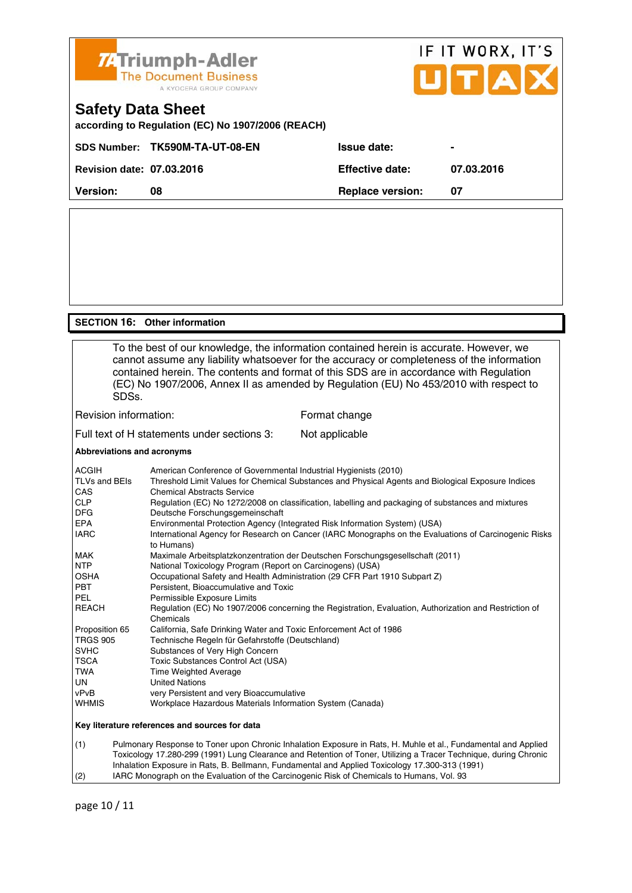

#### **SECTION 16: Other information**

 To the best of our knowledge, the information contained herein is accurate. However, we cannot assume any liability whatsoever for the accuracy or completeness of the information contained herein. The contents and format of this SDS are in accordance with Regulation (EC) No 1907/2006, Annex II as amended by Regulation (EU) No 453/2010 with respect to SDSs. Revision information: Format change Full text of H statements under sections 3: Not applicable **Abbreviations and acronyms**  ACGIH American Conference of Governmental Industrial Hygienists (2010)

| AUGIH           | American Conference of Governmental Industrial Hygienists (2010)                                                    |
|-----------------|---------------------------------------------------------------------------------------------------------------------|
| TLVs and BEIs   | Threshold Limit Values for Chemical Substances and Physical Agents and Biological Exposure Indices                  |
| <b>CAS</b>      | <b>Chemical Abstracts Service</b>                                                                                   |
| <b>CLP</b>      | Regulation (EC) No 1272/2008 on classification, labelling and packaging of substances and mixtures                  |
| <b>DFG</b>      | Deutsche Forschungsgemeinschaft                                                                                     |
| <b>EPA</b>      | Environmental Protection Agency (Integrated Risk Information System) (USA)                                          |
| <b>IARC</b>     | International Agency for Research on Cancer (IARC Monographs on the Evaluations of Carcinogenic Risks<br>to Humans) |
| <b>MAK</b>      | Maximale Arbeitsplatzkonzentration der Deutschen Forschungsgesellschaft (2011)                                      |
| <b>NTP</b>      | National Toxicology Program (Report on Carcinogens) (USA)                                                           |
| <b>OSHA</b>     | Occupational Safety and Health Administration (29 CFR Part 1910 Subpart Z)                                          |
| <b>PBT</b>      | Persistent, Bioaccumulative and Toxic                                                                               |
| PEL             | Permissible Exposure Limits                                                                                         |
| <b>REACH</b>    | Regulation (EC) No 1907/2006 concerning the Registration, Evaluation, Authorization and Restriction of<br>Chemicals |
| Proposition 65  | California, Safe Drinking Water and Toxic Enforcement Act of 1986                                                   |
| <b>TRGS 905</b> | Technische Regeln für Gefahrstoffe (Deutschland)                                                                    |
| <b>SVHC</b>     | Substances of Very High Concern                                                                                     |
| <b>TSCA</b>     | Toxic Substances Control Act (USA)                                                                                  |
| TWA             | Time Weighted Average                                                                                               |
| UN              | <b>United Nations</b>                                                                                               |
| vPvB            | very Persistent and very Bioaccumulative                                                                            |
| <b>WHMIS</b>    | Workplace Hazardous Materials Information System (Canada)                                                           |
|                 | Key literature references and sources for data                                                                      |
| (1)             | Dulmonary Pespense to Tonor upon Chronic Inhalation Expecure in Date H. Muhlo et al. Eundamental and Applied        |

(1) Pulmonary Response to Toner upon Chronic Inhalation Exposure in Rats, H. Muhle et al., Fundamental and Applied Toxicology 17.280-299 (1991) Lung Clearance and Retention of Toner, Utilizing a Tracer Technique, during Chronic Inhalation Exposure in Rats, B. Bellmann, Fundamental and Applied Toxicology 17.300-313 (1991) (2) IARC Monograph on the Evaluation of the Carcinogenic Risk of Chemicals to Humans, Vol. 93

page 10 / 11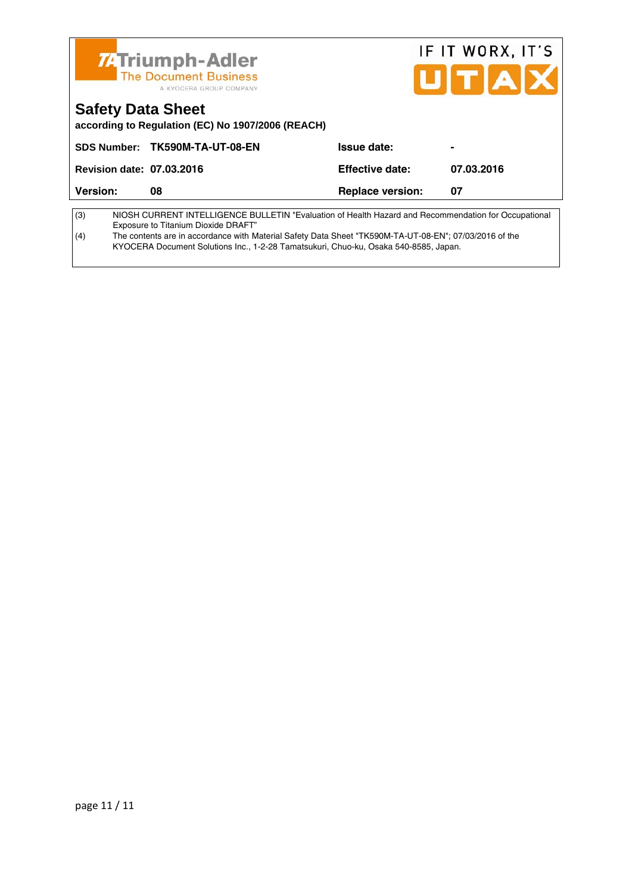|                                  | <b>74 Triumph-Adler</b><br><b>The Document Business</b><br>A KYOCERA GROUP COMPANY                                                          |                         | IF IT WORX, IT'S<br>UITAX |
|----------------------------------|---------------------------------------------------------------------------------------------------------------------------------------------|-------------------------|---------------------------|
| <b>Safety Data Sheet</b>         | according to Regulation (EC) No 1907/2006 (REACH)                                                                                           |                         |                           |
|                                  | SDS Number: TK590M-TA-UT-08-EN                                                                                                              | Issue date:             |                           |
| <b>Revision date: 07.03.2016</b> |                                                                                                                                             | <b>Effective date:</b>  | 07.03.2016                |
| Version:                         | 08                                                                                                                                          | <b>Replace version:</b> | 07                        |
| (3)                              | NIOSH CURRENT INTELLIGENCE BULLETIN "Evaluation of Health Hazard and Recommendation for Occupational<br>Exposure to Titanium Dioxide DRAFT" |                         |                           |

(4) The contents are in accordance with Material Safety Data Sheet "TK590M-TA-UT-08-EN"; 07/03/2016 of the KYOCERA Document Solutions Inc., 1-2-28 Tamatsukuri, Chuo-ku, Osaka 540-8585, Japan.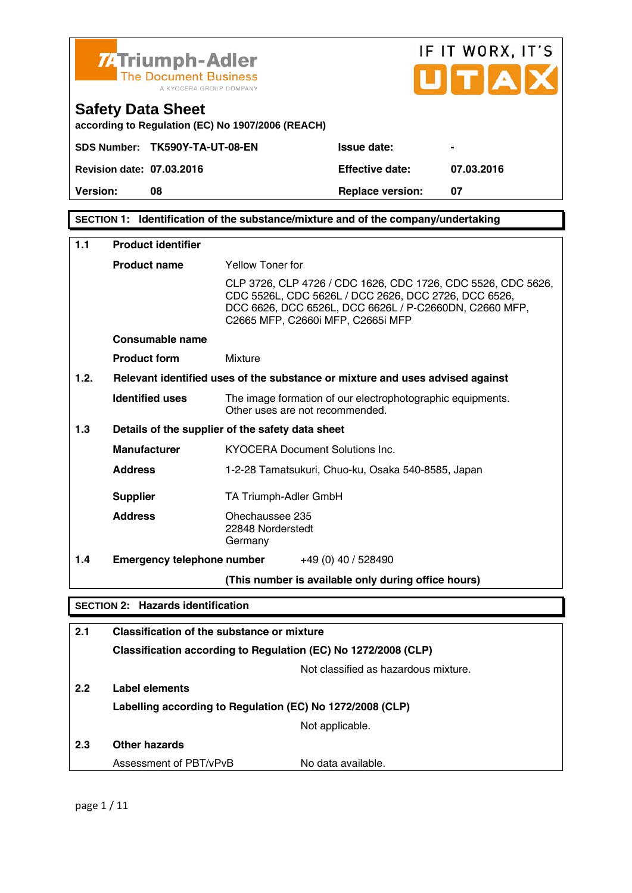

**SECTION 1: Identification of the substance/mixture and of the company/undertaking** 

| 1.1              | <b>Product identifier</b>                                 |                                                                                                                                                                                                                     |  |
|------------------|-----------------------------------------------------------|---------------------------------------------------------------------------------------------------------------------------------------------------------------------------------------------------------------------|--|
|                  | <b>Product name</b>                                       | <b>Yellow Toner for</b>                                                                                                                                                                                             |  |
|                  |                                                           | CLP 3726, CLP 4726 / CDC 1626, CDC 1726, CDC 5526, CDC 5626,<br>CDC 5526L, CDC 5626L / DCC 2626, DCC 2726, DCC 6526,<br>DCC 6626, DCC 6526L, DCC 6626L / P-C2660DN, C2660 MFP,<br>C2665 MFP, C2660i MFP, C2665i MFP |  |
|                  | Consumable name                                           |                                                                                                                                                                                                                     |  |
|                  | <b>Product form</b>                                       | Mixture                                                                                                                                                                                                             |  |
| 1.2.             |                                                           | Relevant identified uses of the substance or mixture and uses advised against                                                                                                                                       |  |
|                  | <b>Identified uses</b>                                    | The image formation of our electrophotographic equipments.<br>Other uses are not recommended.                                                                                                                       |  |
| 1.3              |                                                           | Details of the supplier of the safety data sheet                                                                                                                                                                    |  |
|                  | <b>Manufacturer</b>                                       | KYOCERA Document Solutions Inc.                                                                                                                                                                                     |  |
|                  | <b>Address</b>                                            | 1-2-28 Tamatsukuri, Chuo-ku, Osaka 540-8585, Japan                                                                                                                                                                  |  |
|                  | <b>Supplier</b>                                           | TA Triumph-Adler GmbH                                                                                                                                                                                               |  |
|                  | <b>Address</b>                                            | Ohechaussee 235<br>22848 Norderstedt<br>Germany                                                                                                                                                                     |  |
| 1.4              | <b>Emergency telephone number</b>                         | +49 (0) 40 / 528490                                                                                                                                                                                                 |  |
|                  |                                                           | (This number is available only during office hours)                                                                                                                                                                 |  |
|                  | <b>SECTION 2: Hazards identification</b>                  |                                                                                                                                                                                                                     |  |
| 2.1              |                                                           | Classification of the substance or mixture                                                                                                                                                                          |  |
|                  |                                                           | Classification according to Regulation (EC) No 1272/2008 (CLP)                                                                                                                                                      |  |
|                  | Not classified as hazardous mixture.                      |                                                                                                                                                                                                                     |  |
| 2.2 <sub>2</sub> | Label elements                                            |                                                                                                                                                                                                                     |  |
|                  | Labelling according to Regulation (EC) No 1272/2008 (CLP) |                                                                                                                                                                                                                     |  |
|                  |                                                           | Not applicable.                                                                                                                                                                                                     |  |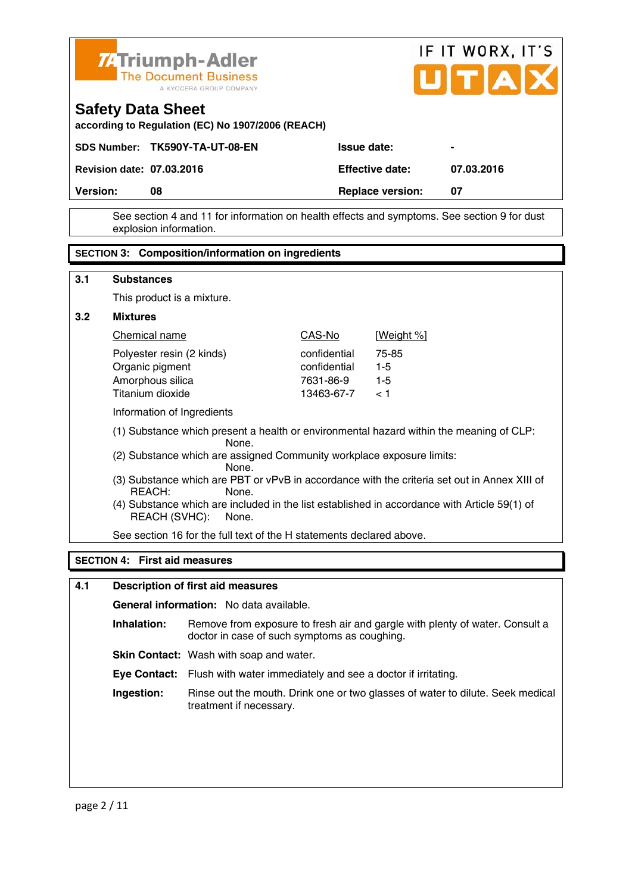

 See section 4 and 11 for information on health effects and symptoms. See section 9 for dust explosion information.

#### **SECTION 3: Composition/information on ingredients**

| 3.1 | <b>Substances</b>                                                                                                      |              |                   |
|-----|------------------------------------------------------------------------------------------------------------------------|--------------|-------------------|
|     | This product is a mixture.                                                                                             |              |                   |
| 3.2 | <b>Mixtures</b>                                                                                                        |              |                   |
|     | Chemical name                                                                                                          | CAS-No       | <u>[Weight %]</u> |
|     | Polyester resin (2 kinds)                                                                                              | confidential | 75-85             |
|     | Organic pigment                                                                                                        | confidential | $1 - 5$           |
|     | Amorphous silica                                                                                                       | 7631-86-9    | $1 - 5$           |
|     | Titanium dioxide                                                                                                       | 13463-67-7   | < 1               |
|     |                                                                                                                        |              |                   |
|     | Information of Ingredients                                                                                             |              |                   |
|     | (1) Substance which present a health or environmental hazard within the meaning of CLP:<br>None.                       |              |                   |
|     | (2) Substance which are assigned Community workplace exposure limits:<br>None.                                         |              |                   |
|     | (3) Substance which are PBT or vPvB in accordance with the criteria set out in Annex XIII of<br>REACH:<br>None.        |              |                   |
|     | (4) Substance which are included in the list established in accordance with Article 59(1) of<br>REACH (SVHC):<br>None. |              |                   |
|     |                                                                                                                        |              |                   |
|     | See section 16 for the full text of the H statements declared above.                                                   |              |                   |
|     |                                                                                                                        |              |                   |
|     | <b>SECTION 4: First aid measures</b>                                                                                   |              |                   |

| 4.1 | <b>Description of first aid measures</b> |                                                                                                                              |  |
|-----|------------------------------------------|------------------------------------------------------------------------------------------------------------------------------|--|
|     |                                          | <b>General information:</b> No data available.                                                                               |  |
|     | Inhalation:                              | Remove from exposure to fresh air and gargle with plenty of water. Consult a<br>doctor in case of such symptoms as coughing. |  |
|     |                                          | <b>Skin Contact:</b> Wash with soap and water.                                                                               |  |
|     |                                          | <b>Eye Contact:</b> Flush with water immediately and see a doctor if irritating.                                             |  |
|     | Ingestion:                               | Rinse out the mouth. Drink one or two glasses of water to dilute. Seek medical<br>treatment if necessary.                    |  |
|     |                                          |                                                                                                                              |  |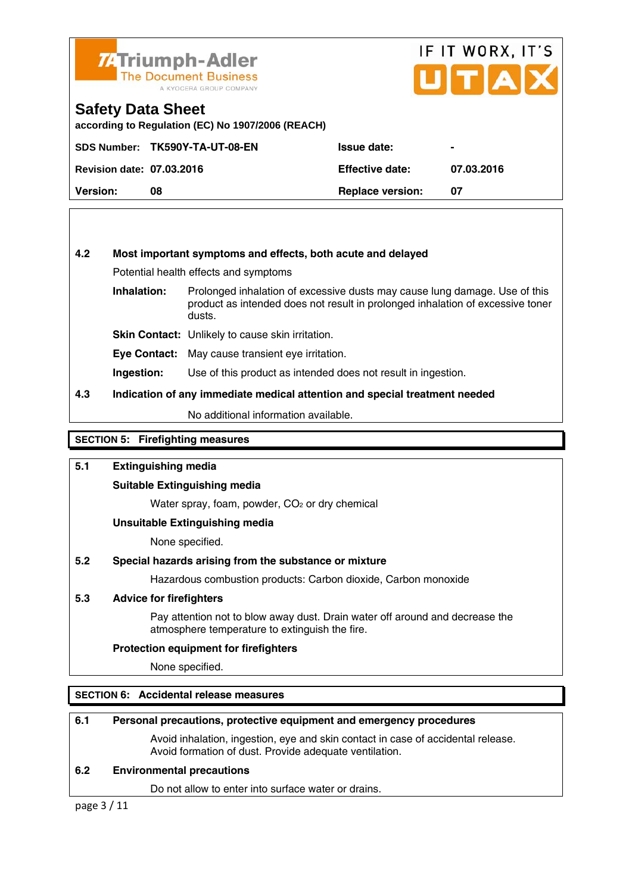

## IF IT WORX, IT'S UITIAI

#### **Safety Data Sheet**

**according to Regulation (EC) No 1907/2006 (REACH)** 

|                                  | SDS Number: TK590Y-TA-UT-08-EN | <b>Issue date:</b>      |            |
|----------------------------------|--------------------------------|-------------------------|------------|
| <b>Revision date: 07.03.2016</b> |                                | <b>Effective date:</b>  | 07.03.2016 |
| <b>Version:</b>                  | 08                             | <b>Replace version:</b> |            |

#### **4.2 Most important symptoms and effects, both acute and delayed**

Potential health effects and symptoms

**Inhalation:** Prolonged inhalation of excessive dusts may cause lung damage. Use of this product as intended does not result in prolonged inhalation of excessive toner dusts.

**Skin Contact:** Unlikely to cause skin irritation.

**Eye Contact:** May cause transient eye irritation.

**Ingestion:** Use of this product as intended does not result in ingestion.

#### **4.3 Indication of any immediate medical attention and special treatment needed**

No additional information available.

#### **SECTION 5: Firefighting measures**

#### **5.1 Extinguishing media**

#### **Suitable Extinguishing media**

Water spray, foam, powder, CO<sub>2</sub> or dry chemical

#### **Unsuitable Extinguishing media**

None specified.

#### **5.2 Special hazards arising from the substance or mixture**

Hazardous combustion products: Carbon dioxide, Carbon monoxide

#### **5.3 Advice for firefighters**

 Pay attention not to blow away dust. Drain water off around and decrease the atmosphere temperature to extinguish the fire.

#### **Protection equipment for firefighters**

None specified.

#### **SECTION 6: Accidental release measures**

#### **6.1 Personal precautions, protective equipment and emergency procedures**

 Avoid inhalation, ingestion, eye and skin contact in case of accidental release. Avoid formation of dust. Provide adequate ventilation.

#### **6.2 Environmental precautions**

Do not allow to enter into surface water or drains.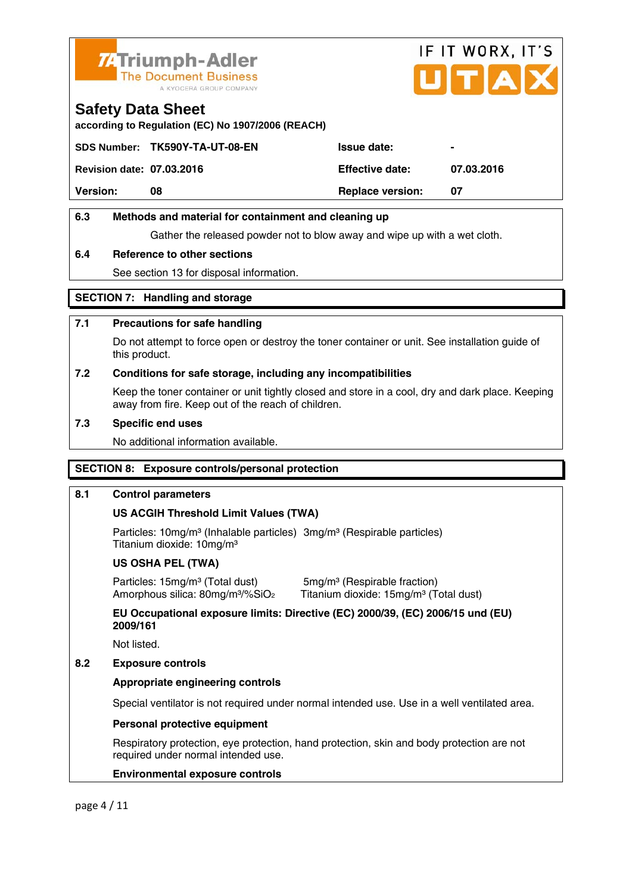

# IF IT WORX, IT'S ITIA

#### **Safety Data Sheet**

**according to Regulation (EC) No 1907/2006 (REACH)** 

|                                  | SDS Number: TK590Y-TA-UT-08-EN | <b>Issue date:</b>      | $\blacksquare$ |
|----------------------------------|--------------------------------|-------------------------|----------------|
| <b>Revision date: 07.03.2016</b> |                                | <b>Effective date:</b>  | 07.03.2016     |
| <b>Version:</b>                  | 08                             | <b>Replace version:</b> | -07            |
|                                  |                                |                         |                |

#### **6.3 Methods and material for containment and cleaning up**

Gather the released powder not to blow away and wipe up with a wet cloth.

#### **6.4 Reference to other sections**

See section 13 for disposal information.

#### **SECTION 7: Handling and storage**

#### **7.1 Precautions for safe handling**

 Do not attempt to force open or destroy the toner container or unit. See installation guide of this product.

#### **7.2 Conditions for safe storage, including any incompatibilities**

Keep the toner container or unit tightly closed and store in a cool, dry and dark place. Keeping away from fire. Keep out of the reach of children.

#### **7.3 Specific end uses**

No additional information available.

#### **SECTION 8: Exposure controls/personal protection**

#### **8.1 Control parameters**

#### **US ACGIH Threshold Limit Values (TWA)**

Particles: 10mg/m<sup>3</sup> (Inhalable particles) 3mg/m<sup>3</sup> (Respirable particles) Titanium dioxide: 10mg/m³

#### **US OSHA PEL (TWA)**

Particles: 15mg/m<sup>3</sup> (Total dust) 5mg/m<sup>3</sup> (Respirable fraction)

Amorphous silica: 80mg/m<sup>3</sup>/%SiO<sub>2</sub> Titanium dioxide: 15mg/m<sup>3</sup> (Total dust)

 **EU Occupational exposure limits: Directive (EC) 2000/39, (EC) 2006/15 und (EU) 2009/161** 

Not listed.

#### **8.2 Exposure controls**

#### **Appropriate engineering controls**

Special ventilator is not required under normal intended use. Use in a well ventilated area.

#### **Personal protective equipment**

 Respiratory protection, eye protection, hand protection, skin and body protection are not required under normal intended use.

#### **Environmental exposure controls**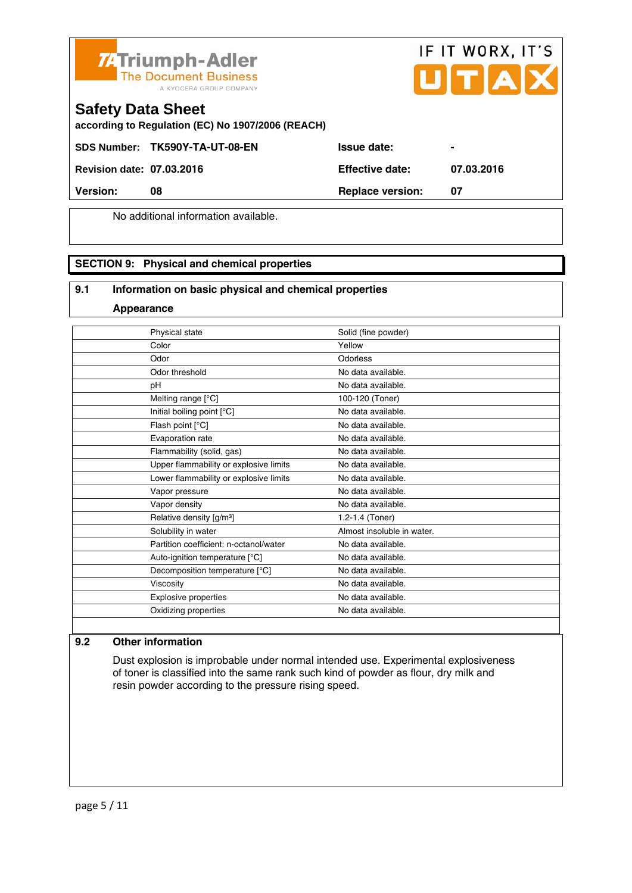



#### **Safety Data Sheet**

**according to Regulation (EC) No 1907/2006 (REACH)** 

SDS Number: TK590Y-TA-UT-08-EN Issue date:

**Revision date: 07.03.2016 Effective date: 07.03.2016** 

**Version:** 08 **Replace version:** 07

No additional information available.

#### **SECTION 9: Physical and chemical properties**

#### **9.1 Information on basic physical and chemical properties**

**Appearance**

| Physical state                         | Solid (fine powder)        |
|----------------------------------------|----------------------------|
| Color                                  | Yellow                     |
| Odor                                   | Odorless                   |
| Odor threshold                         | No data available.         |
| pH                                     | No data available.         |
| Melting range [°C]                     | 100-120 (Toner)            |
| Initial boiling point [°C]             | No data available.         |
| Flash point [°C]                       | No data available.         |
| Evaporation rate                       | No data available.         |
| Flammability (solid, gas)              | No data available.         |
| Upper flammability or explosive limits | No data available.         |
| Lower flammability or explosive limits | No data available.         |
| Vapor pressure                         | No data available.         |
| Vapor density                          | No data available.         |
| Relative density [g/m <sup>3</sup> ]   | 1.2-1.4 (Toner)            |
| Solubility in water                    | Almost insoluble in water. |
| Partition coefficient: n-octanol/water | No data available.         |
| Auto-ignition temperature [°C]         | No data available.         |
| Decomposition temperature [°C]         | No data available.         |
| Viscosity                              | No data available.         |
| Explosive properties                   | No data available.         |
| Oxidizing properties                   | No data available.         |
|                                        |                            |

#### **9.2 Other information**

 Dust explosion is improbable under normal intended use. Experimental explosiveness of toner is classified into the same rank such kind of powder as flour, dry milk and resin powder according to the pressure rising speed.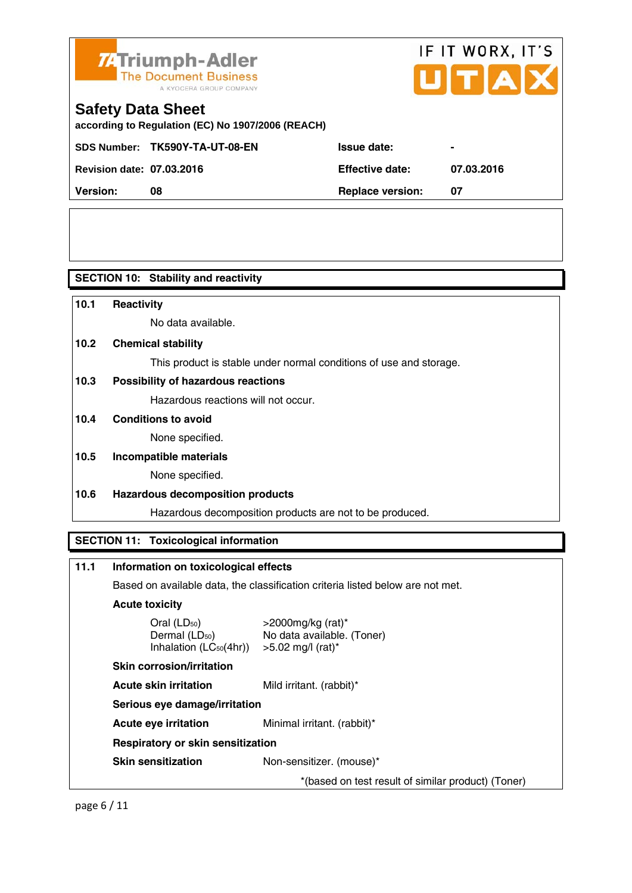

# IF IT WORX, IT'S

## **Safety Data Sheet**

**according to Regulation (EC) No 1907/2006 (REACH)** 

SDS Number: TK590Y-TA-UT-08-EN Issue date:

**Revision date: 07.03.2016 Effective date: 07.03.2016** 

| <b>Revision date: 07.03.2016</b> | <b>Effective date:</b>  | 07. |
|----------------------------------|-------------------------|-----|
| Version:                         | <b>Replace version:</b> |     |

**SECTION 10: Stability and reactivity** 

| 10.1 | Reactivity                                                                     |
|------|--------------------------------------------------------------------------------|
|      | No data available.                                                             |
| 10.2 | <b>Chemical stability</b>                                                      |
|      | This product is stable under normal conditions of use and storage.             |
| 10.3 | Possibility of hazardous reactions                                             |
|      | Hazardous reactions will not occur.                                            |
| 10.4 | <b>Conditions to avoid</b>                                                     |
|      | None specified.                                                                |
| 10.5 | Incompatible materials                                                         |
|      | None specified.                                                                |
| 10.6 | <b>Hazardous decomposition products</b>                                        |
|      | Hazardous decomposition products are not to be produced.                       |
|      |                                                                                |
|      | <b>SECTION 11: Toxicological information</b>                                   |
|      |                                                                                |
| 11.1 | Information on toxicological effects                                           |
|      | Based on available data, the classification criteria listed below are not met. |

**Acute toxicity** 

| Oral $(LD_{50})$            | >200  |
|-----------------------------|-------|
| Dermal (LD <sub>50</sub> )  | No da |
| Inhalation $(LC_{50}(4hr))$ | >5.02 |
|                             |       |

0mg/kg (rat)\* ata available. (Toner) 2 mg/l (rat) $*$ 

 **Skin corrosion/irritation** 

**Acute skin irritation** Mild irritant. (rabbit)\*

 **Serious eye damage/irritation** 

**Acute eye irritation** Minimal irritant. (rabbit)\*

 **Respiratory or skin sensitization** 

**Skin sensitization** Non-sensitizer. (mouse)\*

\*(based on test result of similar product) (Toner)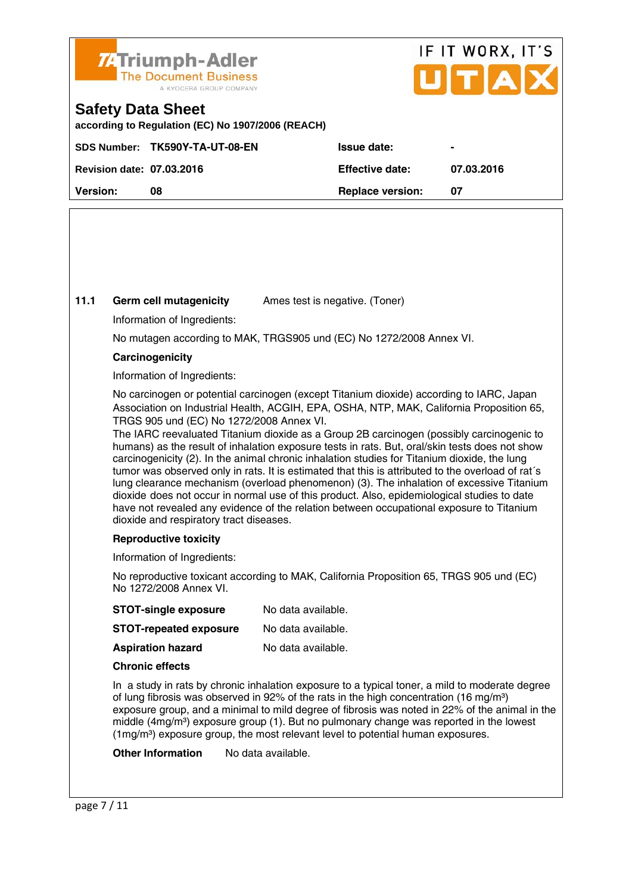

## IF IT WORX, IT'S  $\bf{U}[T|A]$

### **Safety Data Sheet**

**according to Regulation (EC) No 1907/2006 (REACH)** 

|                                  | SDS Number: TK590Y-TA-UT-08-EN | <b>Issue date:</b>      | $\sim$     |
|----------------------------------|--------------------------------|-------------------------|------------|
| <b>Revision date: 07.03.2016</b> |                                | <b>Effective date:</b>  | 07.03.2016 |
| Version:                         | 08                             | <b>Replace version:</b> |            |
|                                  |                                |                         |            |

#### **11.1 Germ cell mutagenicity** Ames test is negative. (Toner)

Information of Ingredients:

No mutagen according to MAK, TRGS905 und (EC) No 1272/2008 Annex VI.

#### **Carcinogenicity**

Information of Ingredients:

 No carcinogen or potential carcinogen (except Titanium dioxide) according to IARC, Japan Association on Industrial Health, ACGIH, EPA, OSHA, NTP, MAK, California Proposition 65, TRGS 905 und (EC) No 1272/2008 Annex VI.

 The IARC reevaluated Titanium dioxide as a Group 2B carcinogen (possibly carcinogenic to humans) as the result of inhalation exposure tests in rats. But, oral/skin tests does not show carcinogenicity (2). In the animal chronic inhalation studies for Titanium dioxide, the lung tumor was observed only in rats. It is estimated that this is attributed to the overload of rat´s lung clearance mechanism (overload phenomenon) (3). The inhalation of excessive Titanium dioxide does not occur in normal use of this product. Also, epidemiological studies to date have not revealed any evidence of the relation between occupational exposure to Titanium dioxide and respiratory tract diseases.

#### **Reproductive toxicity**

Information of Ingredients:

 No reproductive toxicant according to MAK, California Proposition 65, TRGS 905 und (EC) No 1272/2008 Annex VI.

| No data available. |
|--------------------|
|                    |

| <b>STOT-repeated exposure</b> | No data available. |
|-------------------------------|--------------------|
|                               |                    |

**Aspiration hazard** No data available.

#### **Chronic effects**

 In a study in rats by chronic inhalation exposure to a typical toner, a mild to moderate degree of lung fibrosis was observed in 92% of the rats in the high concentration (16 mg/m<sup>3</sup>) exposure group, and a minimal to mild degree of fibrosis was noted in 22% of the animal in the middle ( $4mg/m<sup>3</sup>$ ) exposure group (1). But no pulmonary change was reported in the lowest (1mg/m<sup>3</sup>) exposure group, the most relevant level to potential human exposures.

**Other Information** No data available.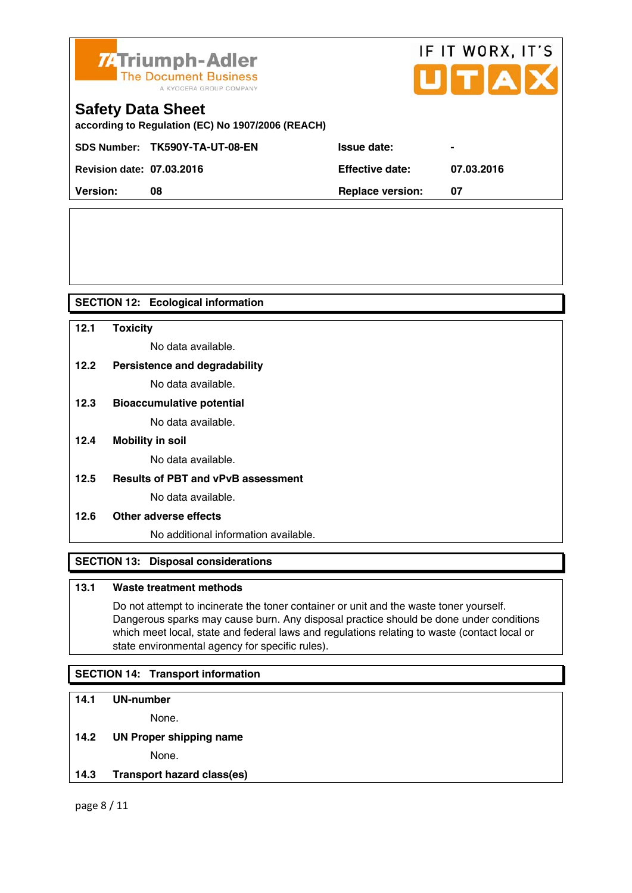



## **Safety Data Sheet**

**according to Regulation (EC) No 1907/2006 (REACH)** 

| <b>Revision date: 07.03.2016</b> |    | <b>Effective date:</b>  | 07.03.2016 |
|----------------------------------|----|-------------------------|------------|
| <b>Version:</b>                  | 08 | <b>Replace version:</b> |            |
|                                  |    |                         |            |

#### **SECTION 12: Ecological information**

**12.1 Toxicity**  No data available. **12.2 Persistence and degradability** No data available. **12.3 Bioaccumulative potential** 

No data available.

**12.4 Mobility in soil** 

No data available.

**12.5 Results of PBT and vPvB assessment** 

No data available.

**12.6 Other adverse effects** 

No additional information available.

#### **SECTION 13: Disposal considerations**

#### **13.1 Waste treatment methods**

 Do not attempt to incinerate the toner container or unit and the waste toner yourself. Dangerous sparks may cause burn. Any disposal practice should be done under conditions which meet local, state and federal laws and regulations relating to waste (contact local or state environmental agency for specific rules).

#### **SECTION 14: Transport information**

#### **14.1 UN-number**

None.

**14.2 UN Proper shipping name** 

None.

**14.3 Transport hazard class(es)** 

page 8 / 11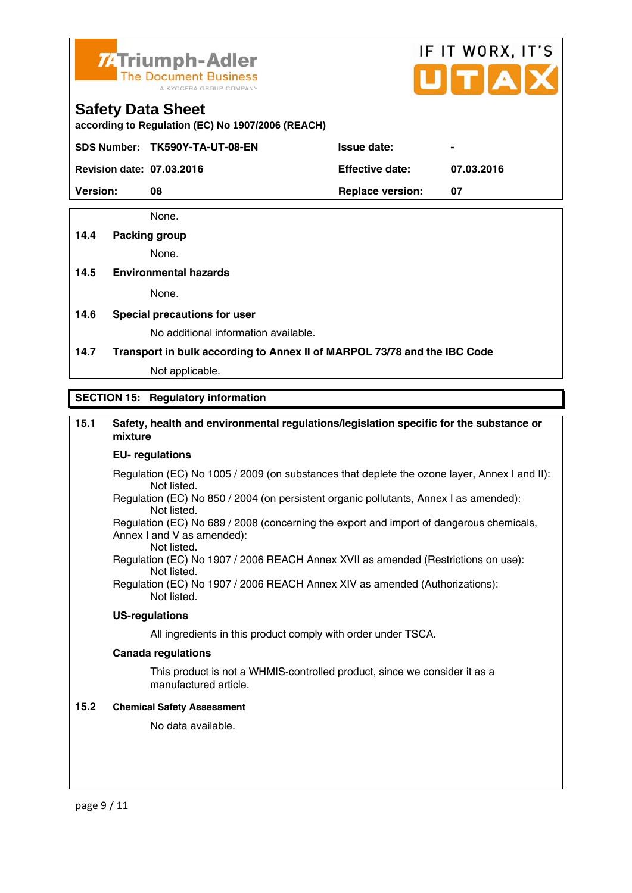

# IF IT WORX, IT'S

#### **Safety Data Sheet**

**according to Regulation (EC) No 1907/2006 (REACH)** 

SDS Number: TK590Y-TA-UT-08-EN Issue date:

**Revision date: 07.03.2016 Effective date: 07.03.2016** 

**Version:** 08 **Replace version: 07 Replace version: 07** 

None.

#### **14.4 Packing group**

None.

#### **14.5 Environmental hazards**

None.

**14.6 Special precautions for user** 

No additional information available.

**14.7 Transport in bulk according to Annex II of MARPOL 73/78 and the IBC Code**

Not applicable.

#### **SECTION 15: Regulatory information**

#### **15.1 Safety, health and environmental regulations/legislation specific for the substance or mixture**

#### **EU- regulations**

- Regulation (EC) No 1005 / 2009 (on substances that deplete the ozone layer, Annex I and II): Not listed.
- Regulation (EC) No 850 / 2004 (on persistent organic pollutants, Annex I as amended): Not listed.

 Regulation (EC) No 689 / 2008 (concerning the export and import of dangerous chemicals, Annex I and V as amended): Not listed.

 Regulation (EC) No 1907 / 2006 REACH Annex XVII as amended (Restrictions on use): Not listed.

Regulation (EC) No 1907 / 2006 REACH Annex XIV as amended (Authorizations): Not listed.

#### **US-regulations**

All ingredients in this product comply with order under TSCA.

#### **Canada regulations**

 This product is not a WHMIS-controlled product, since we consider it as a manufactured article.

#### **15.2 Chemical Safety Assessment**

No data available.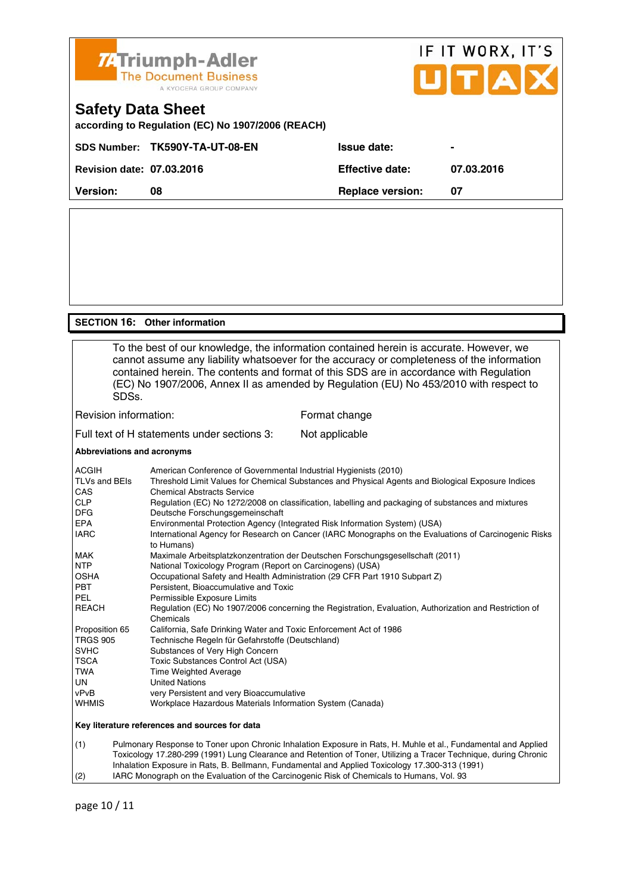

#### **SECTION 16: Other information**

 To the best of our knowledge, the information contained herein is accurate. However, we cannot assume any liability whatsoever for the accuracy or completeness of the information contained herein. The contents and format of this SDS are in accordance with Regulation (EC) No 1907/2006, Annex II as amended by Regulation (EU) No 453/2010 with respect to SDSs. Revision information: Format change Full text of H statements under sections 3: Not applicable

#### **Abbreviations and acronyms**

| <b>ACGIH</b>    | American Conference of Governmental Industrial Hygienists (2010)                                                    |
|-----------------|---------------------------------------------------------------------------------------------------------------------|
| TLVs and BEIs   | Threshold Limit Values for Chemical Substances and Physical Agents and Biological Exposure Indices                  |
| CAS             | <b>Chemical Abstracts Service</b>                                                                                   |
| <b>CLP</b>      | Regulation (EC) No 1272/2008 on classification, labelling and packaging of substances and mixtures                  |
| <b>DFG</b>      | Deutsche Forschungsgemeinschaft                                                                                     |
| <b>EPA</b>      | Environmental Protection Agency (Integrated Risk Information System) (USA)                                          |
| <b>IARC</b>     | International Agency for Research on Cancer (IARC Monographs on the Evaluations of Carcinogenic Risks<br>to Humans) |
| <b>MAK</b>      | Maximale Arbeitsplatzkonzentration der Deutschen Forschungsgesellschaft (2011)                                      |
| <b>NTP</b>      | National Toxicology Program (Report on Carcinogens) (USA)                                                           |
| <b>OSHA</b>     | Occupational Safety and Health Administration (29 CFR Part 1910 Subpart Z)                                          |
| <b>PBT</b>      | Persistent, Bioaccumulative and Toxic                                                                               |
| <b>PEL</b>      | Permissible Exposure Limits                                                                                         |
| <b>REACH</b>    | Regulation (EC) No 1907/2006 concerning the Registration, Evaluation, Authorization and Restriction of<br>Chemicals |
| Proposition 65  | California, Safe Drinking Water and Toxic Enforcement Act of 1986                                                   |
| <b>TRGS 905</b> | Technische Regeln für Gefahrstoffe (Deutschland)                                                                    |
| <b>SVHC</b>     | Substances of Very High Concern                                                                                     |
| <b>TSCA</b>     | Toxic Substances Control Act (USA)                                                                                  |
| TWA             | <b>Time Weighted Average</b>                                                                                        |
| UN.             | <b>United Nations</b>                                                                                               |
| vPvB            | very Persistent and very Bioaccumulative                                                                            |
| <b>WHMIS</b>    | Workplace Hazardous Materials Information System (Canada)                                                           |
|                 | Key literature references and sources for data                                                                      |
|                 |                                                                                                                     |

(1) Pulmonary Response to Toner upon Chronic Inhalation Exposure in Rats, H. Muhle et al., Fundamental and Applied Toxicology 17.280-299 (1991) Lung Clearance and Retention of Toner, Utilizing a Tracer Technique, during Chronic Inhalation Exposure in Rats, B. Bellmann, Fundamental and Applied Toxicology 17.300-313 (1991) (2) IARC Monograph on the Evaluation of the Carcinogenic Risk of Chemicals to Humans, Vol. 93

page 10 / 11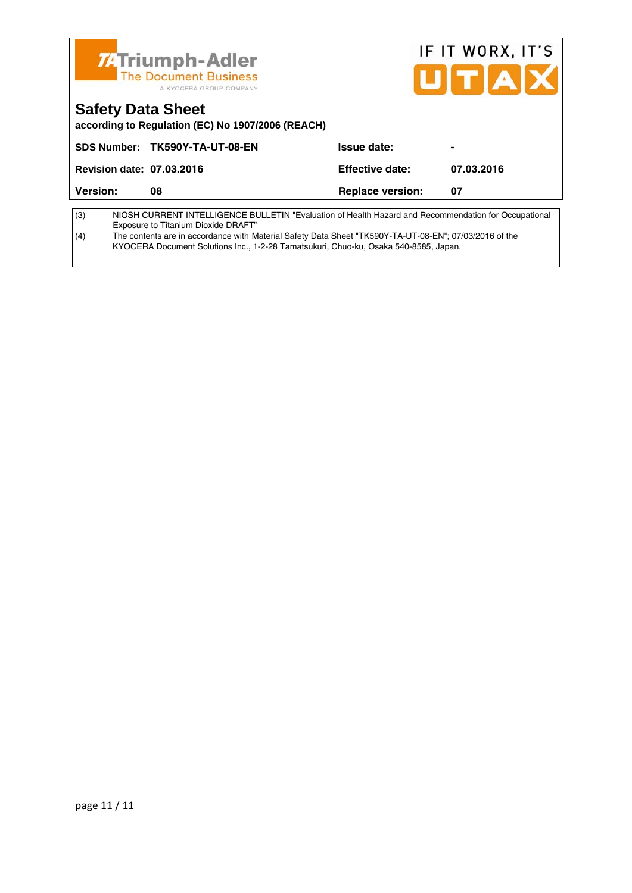|                                  | <b>74 Triumph-Adler</b><br><b>The Document Business</b><br>A KYOCERA GROUP COMPANY                                                          |                         | IF IT WORX, IT'S<br>UITAX |
|----------------------------------|---------------------------------------------------------------------------------------------------------------------------------------------|-------------------------|---------------------------|
| <b>Safety Data Sheet</b>         | according to Regulation (EC) No 1907/2006 (REACH)                                                                                           |                         |                           |
|                                  | SDS Number: TK590Y-TA-UT-08-EN                                                                                                              | Issue date:             |                           |
| <b>Revision date: 07.03.2016</b> |                                                                                                                                             | <b>Effective date:</b>  | 07.03.2016                |
| Version:                         | 08                                                                                                                                          | <b>Replace version:</b> | 07                        |
| (3)                              | NIOSH CURRENT INTELLIGENCE BULLETIN "Evaluation of Health Hazard and Recommendation for Occupational<br>Exposure to Titanium Dioxide DRAFT" |                         |                           |

(4) The contents are in accordance with Material Safety Data Sheet "TK590Y-TA-UT-08-EN"; 07/03/2016 of the KYOCERA Document Solutions Inc., 1-2-28 Tamatsukuri, Chuo-ku, Osaka 540-8585, Japan.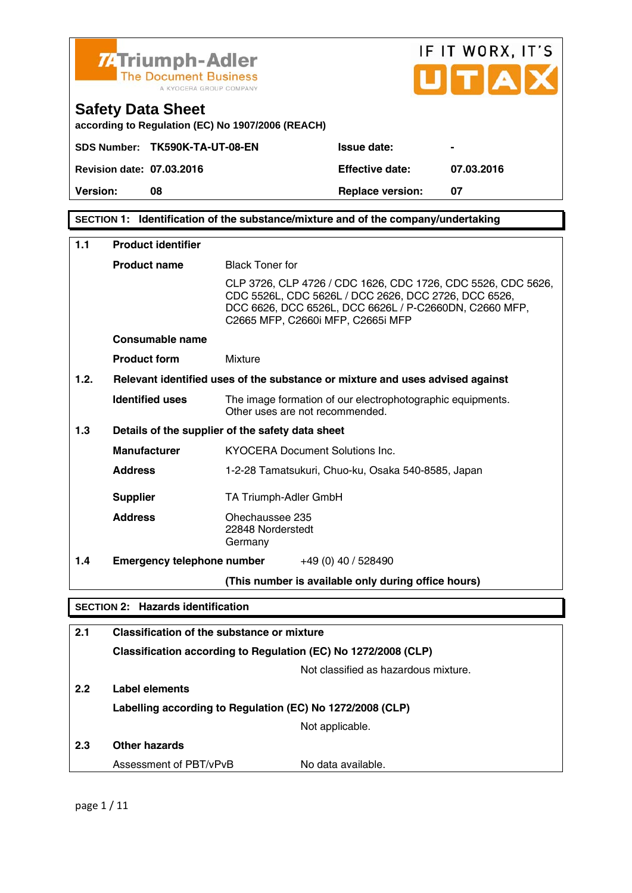

**SECTION 1: Identification of the substance/mixture and of the company/undertaking** 

| 1.1  | <b>Product identifier</b>                                      |                                                                                                                                                                                                                     |  |  |
|------|----------------------------------------------------------------|---------------------------------------------------------------------------------------------------------------------------------------------------------------------------------------------------------------------|--|--|
|      | <b>Product name</b>                                            | <b>Black Toner for</b>                                                                                                                                                                                              |  |  |
|      |                                                                | CLP 3726, CLP 4726 / CDC 1626, CDC 1726, CDC 5526, CDC 5626,<br>CDC 5526L, CDC 5626L / DCC 2626, DCC 2726, DCC 6526,<br>DCC 6626, DCC 6526L, DCC 6626L / P-C2660DN, C2660 MFP,<br>C2665 MFP, C2660i MFP, C2665i MFP |  |  |
|      | Consumable name                                                |                                                                                                                                                                                                                     |  |  |
|      | <b>Product form</b>                                            | Mixture                                                                                                                                                                                                             |  |  |
| 1.2. |                                                                | Relevant identified uses of the substance or mixture and uses advised against                                                                                                                                       |  |  |
|      | <b>Identified uses</b>                                         | The image formation of our electrophotographic equipments.<br>Other uses are not recommended.                                                                                                                       |  |  |
| 1.3  |                                                                | Details of the supplier of the safety data sheet                                                                                                                                                                    |  |  |
|      | <b>Manufacturer</b>                                            | KYOCERA Document Solutions Inc.                                                                                                                                                                                     |  |  |
|      | <b>Address</b>                                                 | 1-2-28 Tamatsukuri, Chuo-ku, Osaka 540-8585, Japan                                                                                                                                                                  |  |  |
|      | <b>Supplier</b>                                                | TA Triumph-Adler GmbH                                                                                                                                                                                               |  |  |
|      | <b>Address</b>                                                 | Ohechaussee 235<br>22848 Norderstedt<br>Germany                                                                                                                                                                     |  |  |
| 1.4  | <b>Emergency telephone number</b>                              | +49 (0) 40 / 528490                                                                                                                                                                                                 |  |  |
|      |                                                                | (This number is available only during office hours)                                                                                                                                                                 |  |  |
|      | <b>SECTION 2: Hazards identification</b>                       |                                                                                                                                                                                                                     |  |  |
| 2.1  | <b>Classification of the substance or mixture</b>              |                                                                                                                                                                                                                     |  |  |
|      | Classification according to Regulation (EC) No 1272/2008 (CLP) |                                                                                                                                                                                                                     |  |  |
|      |                                                                | Not classified as hazardous mixture.                                                                                                                                                                                |  |  |
| 2.2  | Label elements                                                 |                                                                                                                                                                                                                     |  |  |
|      |                                                                | Labelling according to Regulation (EC) No 1272/2008 (CLP)                                                                                                                                                           |  |  |
|      |                                                                | Not applicable.                                                                                                                                                                                                     |  |  |
| 2.3  | <b>Other hazards</b>                                           |                                                                                                                                                                                                                     |  |  |
|      | Assessment of PBT/vPvB                                         | No data available.                                                                                                                                                                                                  |  |  |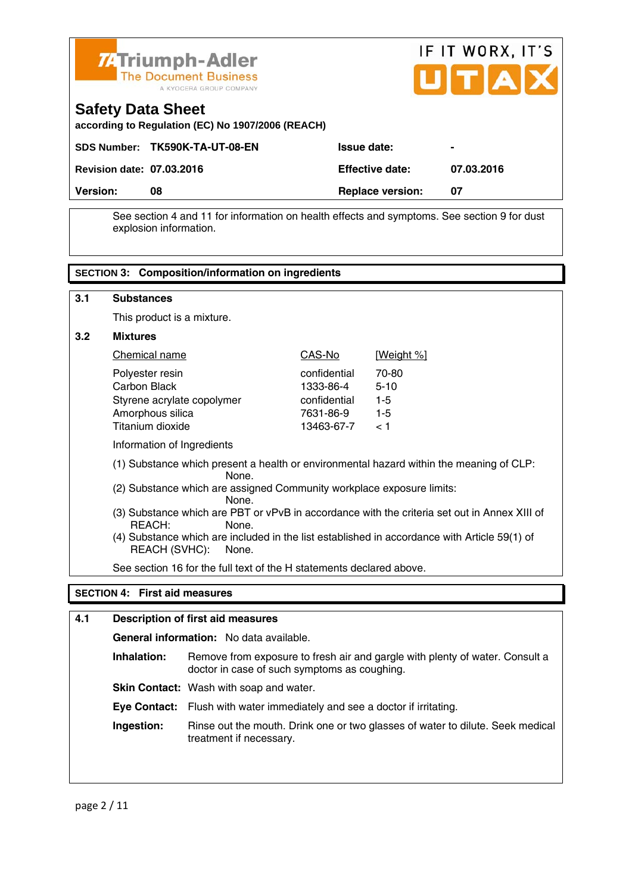

| <b>ZATriumph-Adler</b><br>The Document Business<br>A KYOCERA GROUP COMPANY    |                        | IF IT WORX, IT'S<br>UTAX |
|-------------------------------------------------------------------------------|------------------------|--------------------------|
| <b>Safety Data Sheet</b><br>according to Regulation (EC) No 1907/2006 (REACH) |                        |                          |
| SDS Number: TK590K-TA-UT-08-EN                                                | <b>Issue date:</b>     | -                        |
| <b>Revision date: 07.03.2016</b>                                              | <b>Effective date:</b> | 07.03.2016               |

 See section 4 and 11 for information on health effects and symptoms. See section 9 for dust explosion information.

**Version:** 08 **Replace version: 07 Replace version: 07** 

|                                                                                                                                                                                                                                                                                                                                                                                                                                                                                                         | <b>SECTION 3: Composition/information on ingredients</b>                                                                                   |                                                                      |                                                |
|---------------------------------------------------------------------------------------------------------------------------------------------------------------------------------------------------------------------------------------------------------------------------------------------------------------------------------------------------------------------------------------------------------------------------------------------------------------------------------------------------------|--------------------------------------------------------------------------------------------------------------------------------------------|----------------------------------------------------------------------|------------------------------------------------|
| 3.1                                                                                                                                                                                                                                                                                                                                                                                                                                                                                                     | <b>Substances</b>                                                                                                                          |                                                                      |                                                |
|                                                                                                                                                                                                                                                                                                                                                                                                                                                                                                         | This product is a mixture.                                                                                                                 |                                                                      |                                                |
| 3.2                                                                                                                                                                                                                                                                                                                                                                                                                                                                                                     | <b>Mixtures</b>                                                                                                                            |                                                                      |                                                |
|                                                                                                                                                                                                                                                                                                                                                                                                                                                                                                         | Chemical name                                                                                                                              | CAS-No                                                               | <u>[Weight %]</u>                              |
|                                                                                                                                                                                                                                                                                                                                                                                                                                                                                                         | Polyester resin<br><b>Carbon Black</b><br>Styrene acrylate copolymer<br>Amorphous silica<br>Titanium dioxide<br>Information of Ingredients | confidential<br>1333-86-4<br>confidential<br>7631-86-9<br>13463-67-7 | 70-80<br>$5 - 10$<br>$1 - 5$<br>$1 - 5$<br>< 1 |
| (1) Substance which present a health or environmental hazard within the meaning of CLP:<br>None.<br>(2) Substance which are assigned Community workplace exposure limits:<br>None.<br>(3) Substance which are PBT or vPvB in accordance with the criteria set out in Annex XIII of<br>REACH:<br>None.<br>(4) Substance which are included in the list established in accordance with Article 59(1) of<br>REACH (SVHC):<br>None.<br>See section 16 for the full text of the H statements declared above. |                                                                                                                                            |                                                                      |                                                |
|                                                                                                                                                                                                                                                                                                                                                                                                                                                                                                         |                                                                                                                                            |                                                                      |                                                |
|                                                                                                                                                                                                                                                                                                                                                                                                                                                                                                         | <b>SECTION 4: First aid measures</b>                                                                                                       |                                                                      |                                                |

| 4.1 |             | <b>Description of first aid measures</b>                                                                                     |
|-----|-------------|------------------------------------------------------------------------------------------------------------------------------|
|     |             | <b>General information:</b> No data available.                                                                               |
|     | Inhalation: | Remove from exposure to fresh air and gargle with plenty of water. Consult a<br>doctor in case of such symptoms as coughing. |
|     |             | <b>Skin Contact:</b> Wash with soap and water.                                                                               |
|     |             | Eye Contact: Flush with water immediately and see a doctor if irritating.                                                    |
|     | Ingestion:  | Rinse out the mouth. Drink one or two glasses of water to dilute. Seek medical<br>treatment if necessary.                    |
|     |             |                                                                                                                              |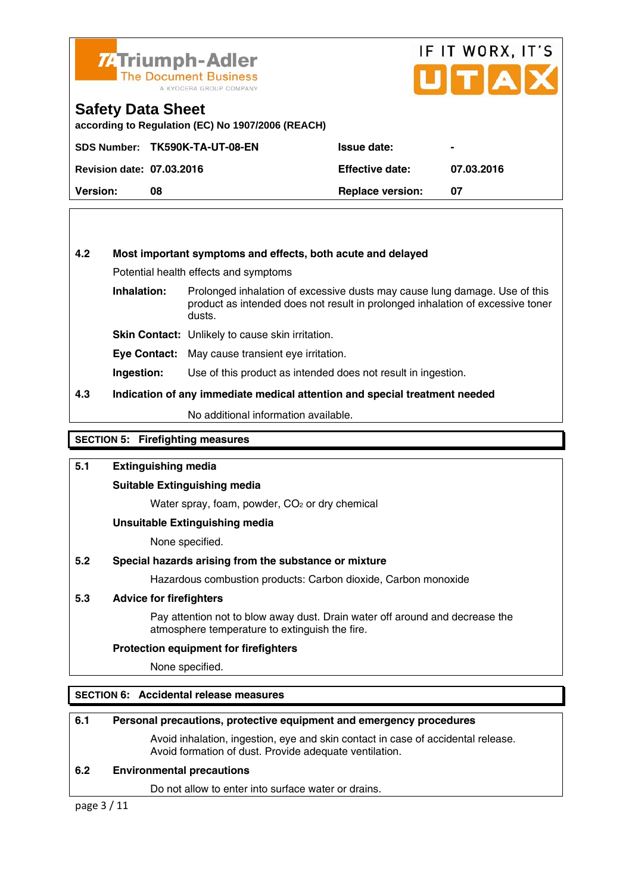

## IF IT WORX, IT'S UITIA

#### **Safety Data Sheet**

**according to Regulation (EC) No 1907/2006 (REACH)** 

|                                  | SDS Number: TK590K-TA-UT-08-EN | <b>Issue date:</b>      | $\blacksquare$ |
|----------------------------------|--------------------------------|-------------------------|----------------|
| <b>Revision date: 07.03.2016</b> |                                | <b>Effective date:</b>  | 07.03.2016     |
| <b>Version:</b>                  | 08                             | <b>Replace version:</b> | 07             |

#### **4.2 Most important symptoms and effects, both acute and delayed**

Potential health effects and symptoms

**Inhalation:** Prolonged inhalation of excessive dusts may cause lung damage. Use of this product as intended does not result in prolonged inhalation of excessive toner dusts.

**Skin Contact:** Unlikely to cause skin irritation.

**Eye Contact:** May cause transient eye irritation.

**Ingestion:** Use of this product as intended does not result in ingestion.

#### **4.3 Indication of any immediate medical attention and special treatment needed**

No additional information available.

#### **SECTION 5: Firefighting measures**

#### **5.1 Extinguishing media**

#### **Suitable Extinguishing media**

Water spray, foam, powder, CO<sub>2</sub> or dry chemical

#### **Unsuitable Extinguishing media**

None specified.

#### **5.2 Special hazards arising from the substance or mixture**

Hazardous combustion products: Carbon dioxide, Carbon monoxide

#### **5.3 Advice for firefighters**

 Pay attention not to blow away dust. Drain water off around and decrease the atmosphere temperature to extinguish the fire.

#### **Protection equipment for firefighters**

None specified.

#### **SECTION 6: Accidental release measures**

#### **6.1 Personal precautions, protective equipment and emergency procedures**

 Avoid inhalation, ingestion, eye and skin contact in case of accidental release. Avoid formation of dust. Provide adequate ventilation.

#### **6.2 Environmental precautions**

Do not allow to enter into surface water or drains.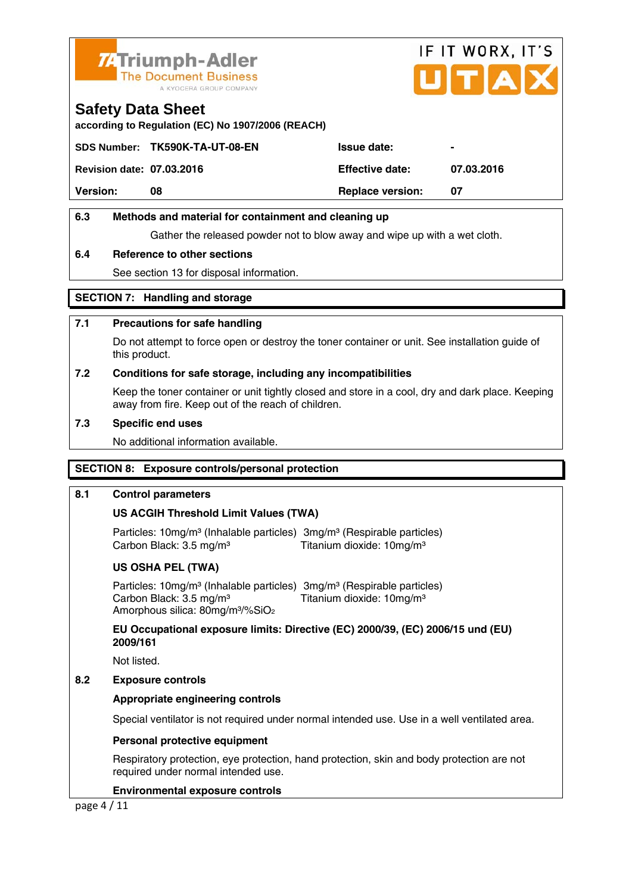

# IF IT WORX, IT'S ITIA

#### **Safety Data Sheet**

**according to Regulation (EC) No 1907/2006 (REACH)** 

|                                  | SDS Number: TK590K-TA-UT-08-EN | <b>Issue date:</b>      | $\blacksquare$ |
|----------------------------------|--------------------------------|-------------------------|----------------|
| <b>Revision date: 07.03.2016</b> |                                | <b>Effective date:</b>  | 07.03.2016     |
| <b>Version:</b>                  | 08                             | <b>Replace version:</b> |                |
|                                  |                                |                         |                |

#### **6.3 Methods and material for containment and cleaning up**

Gather the released powder not to blow away and wipe up with a wet cloth.

#### **6.4 Reference to other sections**

See section 13 for disposal information.

#### **SECTION 7: Handling and storage**

#### **7.1 Precautions for safe handling**

 Do not attempt to force open or destroy the toner container or unit. See installation guide of this product.

#### **7.2 Conditions for safe storage, including any incompatibilities**

Keep the toner container or unit tightly closed and store in a cool, dry and dark place. Keeping away from fire. Keep out of the reach of children.

#### **7.3 Specific end uses**

No additional information available.

#### **SECTION 8: Exposure controls/personal protection**

#### **8.1 Control parameters**

#### **US ACGIH Threshold Limit Values (TWA)**

Particles: 10mg/m<sup>3</sup> (Inhalable particles) 3mg/m<sup>3</sup> (Respirable particles) Carbon Black: 3.5 mg/m<sup>3</sup> Titanium dioxide: 10mg/m<sup>3</sup>

#### **US OSHA PEL (TWA)**

Particles: 10mg/m<sup>3</sup> (Inhalable particles) 3mg/m<sup>3</sup> (Respirable particles) Carbon Black:  $3.5 \text{ mg/m}^3$  Titanium dioxide:  $10 \text{mg/m}^3$ Amorphous silica: 80mg/m³/%SiO2

 **EU Occupational exposure limits: Directive (EC) 2000/39, (EC) 2006/15 und (EU) 2009/161** 

Not listed.

#### **8.2 Exposure controls**

#### **Appropriate engineering controls**

Special ventilator is not required under normal intended use. Use in a well ventilated area.

#### **Personal protective equipment**

 Respiratory protection, eye protection, hand protection, skin and body protection are not required under normal intended use.

#### **Environmental exposure controls**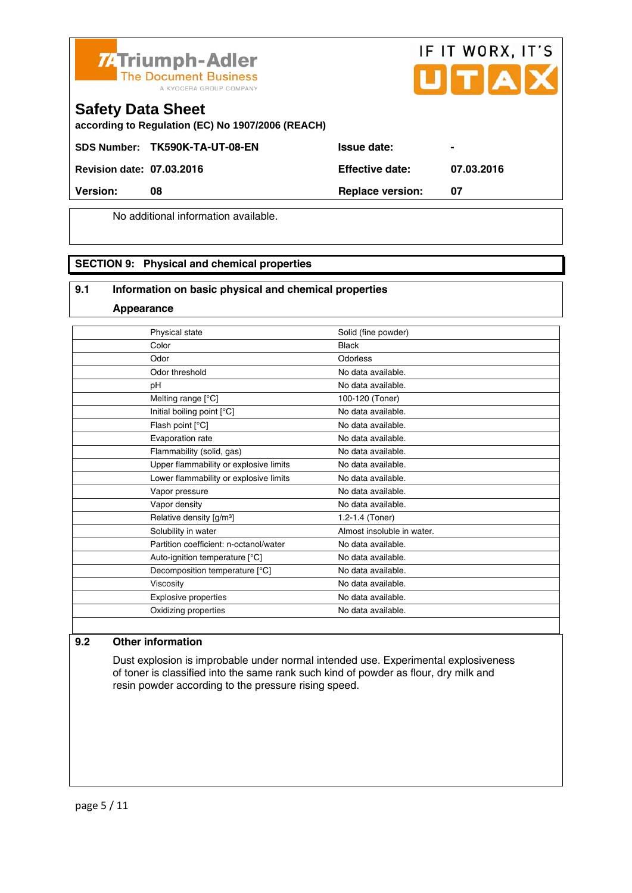



### **Safety Data Sheet**

**according to Regulation (EC) No 1907/2006 (REACH)** 

SDS Number: TK590K-TA-UT-08-EN Issue date:

**Revision date: 07.03.2016 Effective date: 07.03.2016** 

**Version:** 08 **Replace version:** 07

No additional information available.

#### **SECTION 9: Physical and chemical properties**

#### **9.1 Information on basic physical and chemical properties**

**Appearance**

| Physical state                         | Solid (fine powder)        |
|----------------------------------------|----------------------------|
| Color                                  | <b>Black</b>               |
| Odor                                   | Odorless                   |
| Odor threshold                         | No data available.         |
| pH                                     | No data available.         |
| Melting range $[°C]$                   | 100-120 (Toner)            |
| Initial boiling point [°C]             | No data available.         |
| Flash point [°C]                       | No data available.         |
| Evaporation rate                       | No data available.         |
| Flammability (solid, gas)              | No data available.         |
| Upper flammability or explosive limits | No data available.         |
| Lower flammability or explosive limits | No data available.         |
| Vapor pressure                         | No data available.         |
| Vapor density                          | No data available.         |
| Relative density [g/m <sup>3</sup> ]   | 1.2-1.4 (Toner)            |
| Solubility in water                    | Almost insoluble in water. |
| Partition coefficient: n-octanol/water | No data available.         |
| Auto-ignition temperature [°C]         | No data available.         |
| Decomposition temperature [°C]         | No data available.         |
| Viscosity                              | No data available.         |
| <b>Explosive properties</b>            | No data available.         |
| Oxidizing properties                   | No data available.         |
|                                        |                            |

#### **9.2 Other information**

 Dust explosion is improbable under normal intended use. Experimental explosiveness of toner is classified into the same rank such kind of powder as flour, dry milk and resin powder according to the pressure rising speed.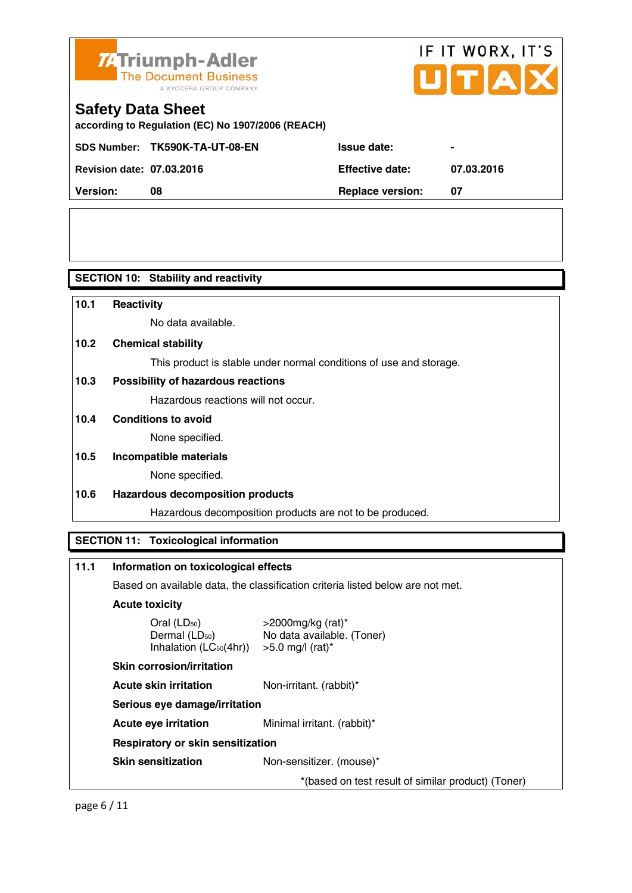

# IF IT WORX, IT'S

## **Safety Data Sheet**

**according to Regulation (EC) No 1907/2006 (REACH)** 

SDS Number: TK590K-TA-UT-08-EN Issue date:

| <b>Revision date: 07.03.2016</b> |    | <b>Effective date:</b>  | 07.03.2016 |
|----------------------------------|----|-------------------------|------------|
| <b>Version:</b>                  | 08 | <b>Replace version:</b> |            |

**SECTION 10: Stability and reactivity** 

| 10.1                                         | <b>Reactivity</b>                                                  |  |
|----------------------------------------------|--------------------------------------------------------------------|--|
|                                              | No data available.                                                 |  |
| 10.2                                         | <b>Chemical stability</b>                                          |  |
|                                              | This product is stable under normal conditions of use and storage. |  |
| 10.3                                         | Possibility of hazardous reactions                                 |  |
|                                              | Hazardous reactions will not occur.                                |  |
| 10.4                                         | <b>Conditions to avoid</b>                                         |  |
|                                              | None specified.                                                    |  |
| 10.5                                         | Incompatible materials                                             |  |
|                                              | None specified.                                                    |  |
| 10.6                                         | <b>Hazardous decomposition products</b>                            |  |
|                                              | Hazardous decomposition products are not to be produced.           |  |
|                                              |                                                                    |  |
| <b>SECTION 11: Toxicological information</b> |                                                                    |  |
|                                              |                                                                    |  |

#### **11.1 Information on toxicological effects**

Based on available data, the classification criteria listed below are not met.

#### **Acute toxicity**

| Oral $(LD_{50})$                    |  |
|-------------------------------------|--|
| Dermal (LD <sub>50</sub> )          |  |
| Inhalation (LC <sub>50</sub> (4hr)) |  |

 $>$ 2000mg/kg (rat)\* No data available. (Toner)  $>5.0$  mg/l (rat)\*

#### **Skin corrosion/irritation**

**Acute skin irritation** Non-irritant. (rabbit)\*

#### **Serious eye damage/irritation**

**Acute eye irritation** Minimal irritant. (rabbit)\*

#### **Respiratory or skin sensitization**

**Skin sensitization** Non-sensitizer. (mouse)\*

\*(based on test result of similar product) (Toner)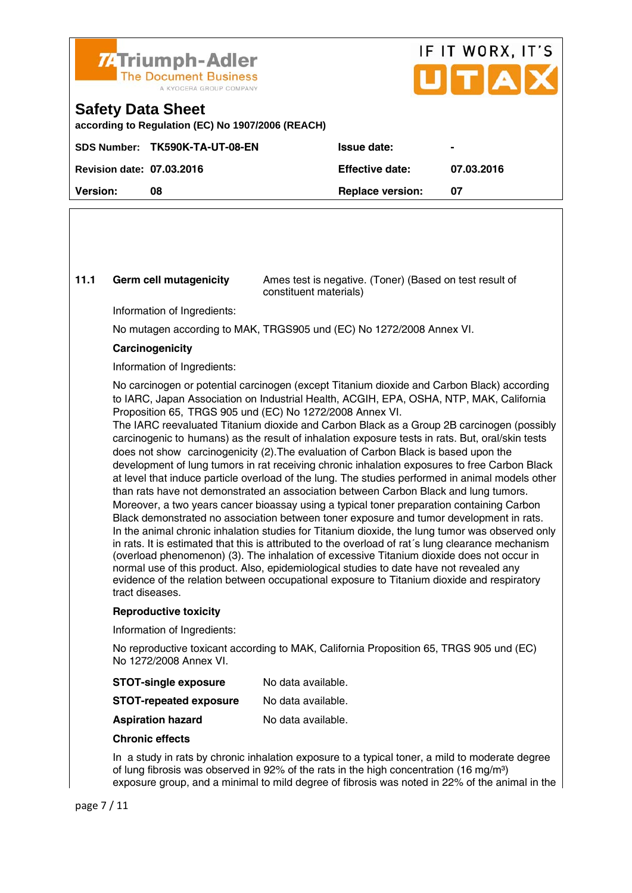

## IF IT WORX, IT'S  $ITTA$

#### **Safety Data Sheet**

**according to Regulation (EC) No 1907/2006 (REACH)** 

|                                  | SDS Number: TK590K-TA-UT-08-EN | <b>Issue date:</b>      |            |
|----------------------------------|--------------------------------|-------------------------|------------|
| <b>Revision date: 07.03.2016</b> |                                | <b>Effective date:</b>  | 07.03.2016 |
| <b>Version:</b>                  | 08                             | <b>Replace version:</b> | 07         |
|                                  |                                |                         |            |

**11.1 Germ cell mutagenicity** Ames test is negative. (Toner) (Based on test result of constituent materials)

Information of Ingredients:

No mutagen according to MAK, TRGS905 und (EC) No 1272/2008 Annex VI.

#### **Carcinogenicity**

Information of Ingredients:

 No carcinogen or potential carcinogen (except Titanium dioxide and Carbon Black) according to IARC, Japan Association on Industrial Health, ACGIH, EPA, OSHA, NTP, MAK, California Proposition 65, TRGS 905 und (EC) No 1272/2008 Annex VI.

 The IARC reevaluated Titanium dioxide and Carbon Black as a Group 2B carcinogen (possibly carcinogenic to humans) as the result of inhalation exposure tests in rats. But, oral/skin tests does not show carcinogenicity (2).The evaluation of Carbon Black is based upon the development of lung tumors in rat receiving chronic inhalation exposures to free Carbon Black at level that induce particle overload of the lung. The studies performed in animal models other than rats have not demonstrated an association between Carbon Black and lung tumors. Moreover, a two years cancer bioassay using a typical toner preparation containing Carbon Black demonstrated no association between toner exposure and tumor development in rats. In the animal chronic inhalation studies for Titanium dioxide, the lung tumor was observed only in rats. It is estimated that this is attributed to the overload of rat´s lung clearance mechanism (overload phenomenon) (3). The inhalation of excessive Titanium dioxide does not occur in normal use of this product. Also, epidemiological studies to date have not revealed any evidence of the relation between occupational exposure to Titanium dioxide and respiratory tract diseases.

#### **Reproductive toxicity**

Information of Ingredients:

 No reproductive toxicant according to MAK, California Proposition 65, TRGS 905 und (EC) No 1272/2008 Annex VI.

| No data available. |
|--------------------|
|                    |

| <b>STOT-repeated exposure</b> | No data available. |
|-------------------------------|--------------------|
|-------------------------------|--------------------|

**Aspiration hazard** No data available.

#### **Chronic effects**

 In a study in rats by chronic inhalation exposure to a typical toner, a mild to moderate degree of lung fibrosis was observed in 92% of the rats in the high concentration (16 mg/m<sup>3</sup>) exposure group, and a minimal to mild degree of fibrosis was noted in 22% of the animal in the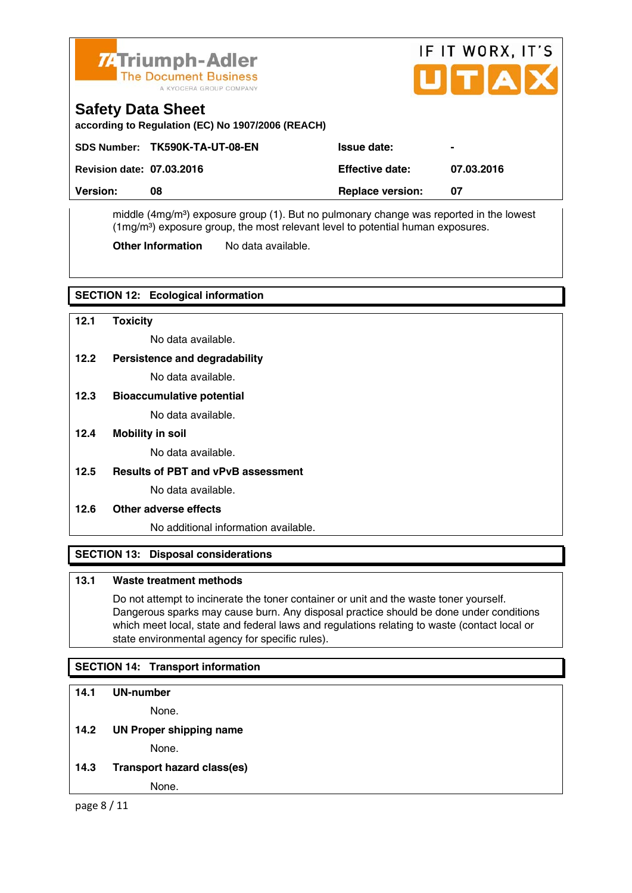

# IF IT WORX, IT'S UITIAI

## **Safety Data Sheet**

**according to Regulation (EC) No 1907/2006 (REACH)** 

| Version:                         | 08                             | <b>Replace version:</b> | -07            |
|----------------------------------|--------------------------------|-------------------------|----------------|
| <b>Revision date: 07.03.2016</b> |                                | <b>Effective date:</b>  | 07.03.2016     |
|                                  | SDS Number: TK590K-TA-UT-08-EN | <b>Issue date:</b>      | $\blacksquare$ |

middle (4mg/m<sup>3</sup>) exposure group (1). But no pulmonary change was reported in the lowest  $(1\,\text{mg/m}^3)$  exposure group, the most relevant level to potential human exposures.

**Other Information** No data available.

#### **SECTION 12: Ecological information**

- **12.1 Toxicity**  No data available. **12.2 Persistence and degradability** No data available. **12.3 Bioaccumulative potential**  No data available. **12.4 Mobility in soil**  No data available.
- **12.5 Results of PBT and vPvB assessment**

No data available.

#### **12.6 Other adverse effects**

No additional information available.

#### **SECTION 13: Disposal considerations**

#### **13.1 Waste treatment methods**

 Do not attempt to incinerate the toner container or unit and the waste toner yourself. Dangerous sparks may cause burn. Any disposal practice should be done under conditions which meet local, state and federal laws and regulations relating to waste (contact local or state environmental agency for specific rules).

#### **SECTION 14: Transport information**

#### **14.1 UN-number**

None.

#### **14.2 UN Proper shipping name**

None.

**14.3 Transport hazard class(es)** 

None.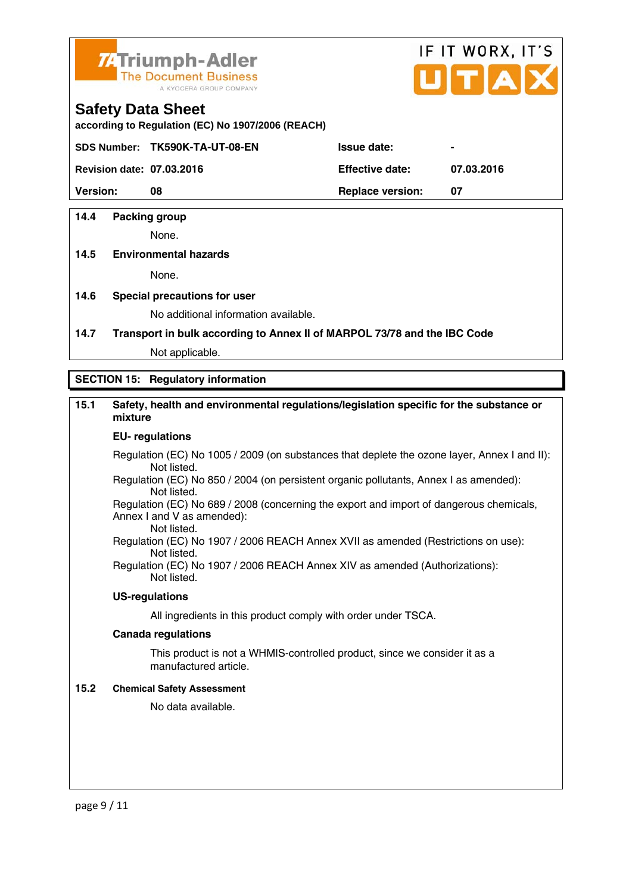

# IF IT WORX, IT'S

#### **Safety Data Sheet**

**according to Regulation (EC) No 1907/2006 (REACH)** 

SDS Number: TK590K-TA-UT-08-EN Issue date:

**Revision date: 07.03.2016 Effective date: 07.03.2016** 

**Version:** 08 **Replace version: 07 Replace version: 07** 

#### **14.4 Packing group**

None.

#### **14.5 Environmental hazards**

None.

#### **14.6 Special precautions for user**

No additional information available.

#### **14.7 Transport in bulk according to Annex II of MARPOL 73/78 and the IBC Code**

Not applicable.

#### **SECTION 15: Regulatory information**

#### **15.1 Safety, health and environmental regulations/legislation specific for the substance or mixture**

#### **EU- regulations**

Regulation (EC) No 1005 / 2009 (on substances that deplete the ozone layer, Annex I and II): Not listed.

 Regulation (EC) No 850 / 2004 (on persistent organic pollutants, Annex I as amended): Not listed.

 Regulation (EC) No 689 / 2008 (concerning the export and import of dangerous chemicals, Annex I and V as amended):

 Not listed. Regulation (EC) No 1907 / 2006 REACH Annex XVII as amended (Restrictions on use):

Not listed.

Regulation (EC) No 1907 / 2006 REACH Annex XIV as amended (Authorizations): Not listed.

#### **US-regulations**

All ingredients in this product comply with order under TSCA.

#### **Canada regulations**

 This product is not a WHMIS-controlled product, since we consider it as a manufactured article.

#### **15.2 Chemical Safety Assessment**

No data available.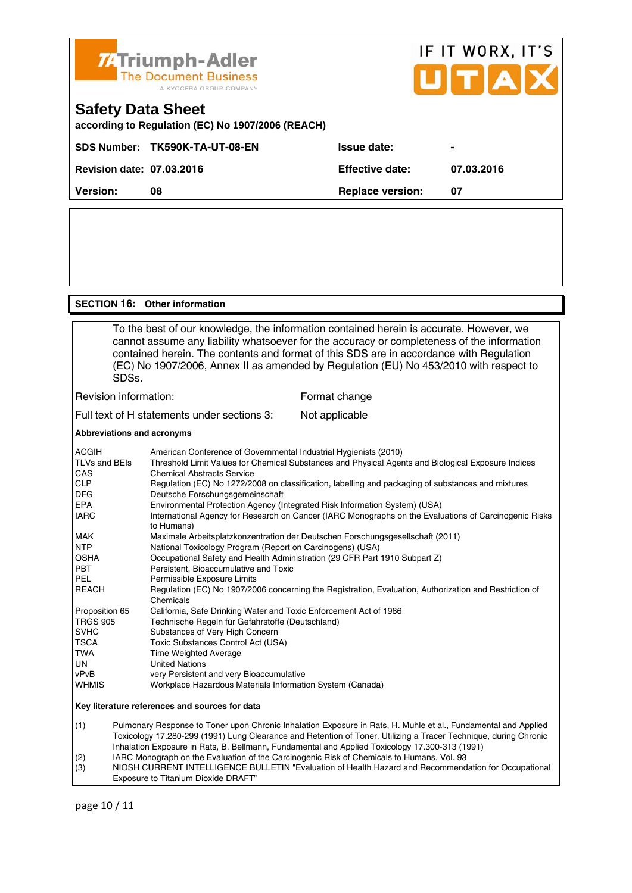

#### **SECTION 16: Other information**

 To the best of our knowledge, the information contained herein is accurate. However, we cannot assume any liability whatsoever for the accuracy or completeness of the information contained herein. The contents and format of this SDS are in accordance with Regulation (EC) No 1907/2006, Annex II as amended by Regulation (EU) No 453/2010 with respect to SDSs.

#### Revision information: Format change

Full text of H statements under sections 3: Not applicable

#### **Abbreviations and acronyms**

| <b>ACGIH</b>                                   | American Conference of Governmental Industrial Hygienists (2010)                                                    |  |  |
|------------------------------------------------|---------------------------------------------------------------------------------------------------------------------|--|--|
| TLVs and BEIs                                  | Threshold Limit Values for Chemical Substances and Physical Agents and Biological Exposure Indices                  |  |  |
| CAS                                            | <b>Chemical Abstracts Service</b>                                                                                   |  |  |
| <b>CLP</b>                                     | Regulation (EC) No 1272/2008 on classification, labelling and packaging of substances and mixtures                  |  |  |
| <b>DFG</b>                                     | Deutsche Forschungsgemeinschaft                                                                                     |  |  |
| <b>EPA</b>                                     | Environmental Protection Agency (Integrated Risk Information System) (USA)                                          |  |  |
| <b>IARC</b>                                    | International Agency for Research on Cancer (IARC Monographs on the Evaluations of Carcinogenic Risks<br>to Humans) |  |  |
| <b>MAK</b>                                     | Maximale Arbeitsplatzkonzentration der Deutschen Forschungsgesellschaft (2011)                                      |  |  |
| <b>NTP</b>                                     | National Toxicology Program (Report on Carcinogens) (USA)                                                           |  |  |
| <b>OSHA</b>                                    | Occupational Safety and Health Administration (29 CFR Part 1910 Subpart Z)                                          |  |  |
| <b>PBT</b>                                     | Persistent, Bioaccumulative and Toxic                                                                               |  |  |
| <b>PEL</b>                                     | Permissible Exposure Limits                                                                                         |  |  |
| <b>REACH</b>                                   | Regulation (EC) No 1907/2006 concerning the Registration, Evaluation, Authorization and Restriction of<br>Chemicals |  |  |
| Proposition 65                                 | California, Safe Drinking Water and Toxic Enforcement Act of 1986                                                   |  |  |
| <b>TRGS 905</b>                                | Technische Regeln für Gefahrstoffe (Deutschland)                                                                    |  |  |
| <b>SVHC</b>                                    | Substances of Very High Concern                                                                                     |  |  |
| <b>TSCA</b>                                    | Toxic Substances Control Act (USA)                                                                                  |  |  |
| TWA                                            | <b>Time Weighted Average</b>                                                                                        |  |  |
| <b>UN</b>                                      | <b>United Nations</b>                                                                                               |  |  |
| vPvB                                           | very Persistent and very Bioaccumulative                                                                            |  |  |
| <b>WHMIS</b>                                   | Workplace Hazardous Materials Information System (Canada)                                                           |  |  |
| Key literature references and sources for data |                                                                                                                     |  |  |

(1) Pulmonary Response to Toner upon Chronic Inhalation Exposure in Rats, H. Muhle et al., Fundamental and Applied Toxicology 17.280-299 (1991) Lung Clearance and Retention of Toner, Utilizing a Tracer Technique, during Chronic Inhalation Exposure in Rats, B. Bellmann, Fundamental and Applied Toxicology 17.300-313 (1991) (2) IARC Monograph on the Evaluation of the Carcinogenic Risk of Chemicals to Humans, Vol. 93

(3) NIOSH CURRENT INTELLIGENCE BULLETIN "Evaluation of Health Hazard and Recommendation for Occupational Exposure to Titanium Dioxide DRAFT"